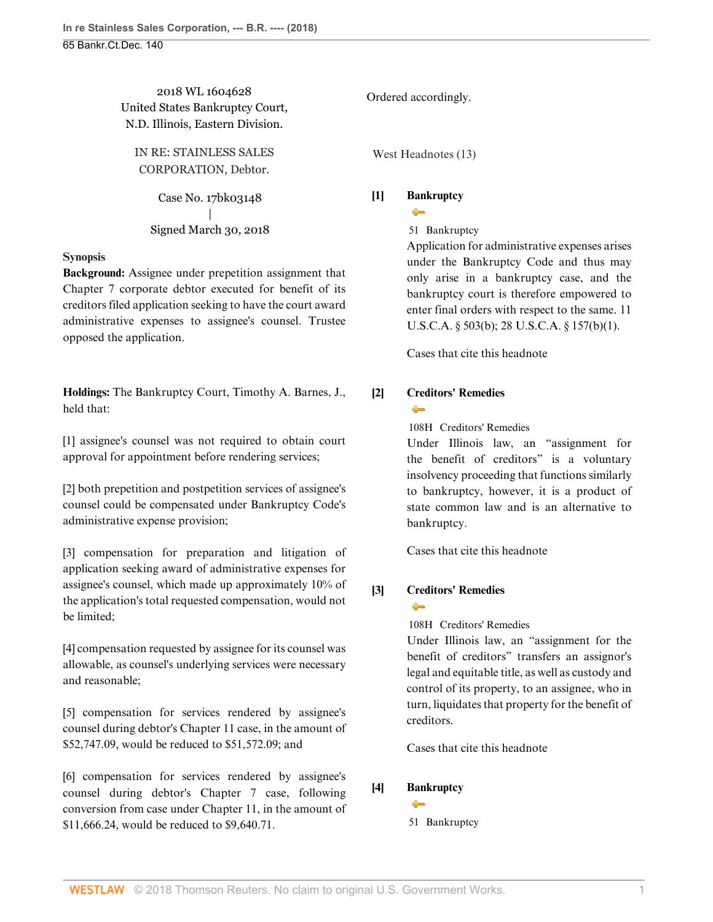2018 WL 1604628 United States Bankruptcy Court, N.D. Illinois, Eastern Division.

IN RE: STAINLESS SALES CORPORATION, Debtor.

> Case No. 17bk03148 | Signed March 30, 2018

### **Synopsis**

**Background:** Assignee under prepetition assignment that Chapter 7 corporate debtor executed for benefit of its creditors filed application seeking to have the court award administrative expenses to assignee's counsel. Trustee opposed the application.

**Holdings:** The Bankruptcy Court, [Timothy A. Barnes,](http://www.westlaw.com/Link/Document/FullText?findType=h&pubNum=176284&cite=0319083401&originatingDoc=I146039b037bc11e888d5f23feb60b681&refType=RQ&originationContext=document&vr=3.0&rs=cblt1.0&transitionType=DocumentItem&contextData=(sc.History*oc.AlertsClip)) J., held that:

[\[1\]](#page-1-0) assignee's counsel was not required to obtain court approval for appointment before rendering services;

[\[2\]](#page-1-1) both prepetition and postpetition services of assignee's counsel could be compensated under Bankruptcy Code's administrative expense provision;

[\[3\]](#page-1-2) compensation for preparation and litigation of application seeking award of administrative expenses for assignee's counsel, which made up approximately 10% of the application's total requested compensation, would not be limited;

[\[4\]](#page-1-3) compensation requested by assignee for its counsel was allowable, as counsel's underlying services were necessary and reasonable;

[\[5\]](#page-2-0) compensation for services rendered by assignee's counsel during debtor's Chapter 11 case, in the amount of \$52,747.09, would be reduced to \$51,572.09; and

[\[6\]](#page-2-1) compensation for services rendered by assignee's counsel during debtor's Chapter 7 case, following conversion from case under Chapter 11, in the amount of \$11,666.24, would be reduced to \$9,640.71.

Ordered accordingly.

West Headnotes (13)

### <span id="page-0-0"></span>**[\[1\]](#page-3-0) [Bankruptcy](http://www.westlaw.com/Browse/Home/KeyNumber/51/View.html?docGuid=I146039b037bc11e888d5f23feb60b681&originationContext=document&vr=3.0&rs=cblt1.0&transitionType=DocumentItem&contextData=(sc.History*oc.AlertsClip))**  $\bullet$

[51](http://www.westlaw.com/Browse/Home/KeyNumber/51/View.html?docGuid=I146039b037bc11e888d5f23feb60b681&originationContext=document&vr=3.0&rs=cblt1.0&transitionType=DocumentItem&contextData=(sc.History*oc.AlertsClip)) Bankruptcy

Application for administrative expenses arises under the Bankruptcy Code and thus may only arise in a bankruptcy case, and the bankruptcy court is therefore empowered to enter final orders with respect to the same. [11](http://www.westlaw.com/Link/Document/FullText?findType=L&pubNum=1000546&cite=11USCAS503&originatingDoc=I146039b037bc11e888d5f23feb60b681&refType=SP&originationContext=document&vr=3.0&rs=cblt1.0&transitionType=DocumentItem&contextData=(sc.History*oc.AlertsClip)#co_pp_a83b000018c76) [U.S.C.A. § 503\(b\)](http://www.westlaw.com/Link/Document/FullText?findType=L&pubNum=1000546&cite=11USCAS503&originatingDoc=I146039b037bc11e888d5f23feb60b681&refType=SP&originationContext=document&vr=3.0&rs=cblt1.0&transitionType=DocumentItem&contextData=(sc.History*oc.AlertsClip)#co_pp_a83b000018c76); [28 U.S.C.A. § 157\(b\)\(1\).](http://www.westlaw.com/Link/Document/FullText?findType=L&pubNum=1000546&cite=28USCAS157&originatingDoc=I146039b037bc11e888d5f23feb60b681&refType=SP&originationContext=document&vr=3.0&rs=cblt1.0&transitionType=DocumentItem&contextData=(sc.History*oc.AlertsClip)#co_pp_3fed000053a85)

[Cases that cite this headnote](http://www.westlaw.com/Link/RelatedInformation/DocHeadnoteLink?docGuid=I146039b037bc11e888d5f23feb60b681&headnoteId=204423205700120180424064559&originationContext=document&vr=3.0&rs=cblt1.0&transitionType=CitingReferences&contextData=(sc.History*oc.AlertsClip))

### <span id="page-0-1"></span>**[\[2\]](#page-4-0) [Creditors' Remedies](http://www.westlaw.com/Browse/Home/KeyNumber/108H/View.html?docGuid=I146039b037bc11e888d5f23feb60b681&originationContext=document&vr=3.0&rs=cblt1.0&transitionType=DocumentItem&contextData=(sc.History*oc.AlertsClip))**  $\bullet$

[108H](http://www.westlaw.com/Browse/Home/KeyNumber/108H/View.html?docGuid=I146039b037bc11e888d5f23feb60b681&originationContext=document&vr=3.0&rs=cblt1.0&transitionType=DocumentItem&contextData=(sc.History*oc.AlertsClip)) Creditors' Remedies

Under Illinois law, an "assignment for the benefit of creditors" is a voluntary insolvency proceeding that functions similarly to bankruptcy, however, it is a product of state common law and is an alternative to bankruptcy.

[Cases that cite this headnote](http://www.westlaw.com/Link/RelatedInformation/DocHeadnoteLink?docGuid=I146039b037bc11e888d5f23feb60b681&headnoteId=204423205700220180424064559&originationContext=document&vr=3.0&rs=cblt1.0&transitionType=CitingReferences&contextData=(sc.History*oc.AlertsClip))

## <span id="page-0-2"></span>**[\[3\]](#page-4-1) [Creditors' Remedies](http://www.westlaw.com/Browse/Home/KeyNumber/108H/View.html?docGuid=I146039b037bc11e888d5f23feb60b681&originationContext=document&vr=3.0&rs=cblt1.0&transitionType=DocumentItem&contextData=(sc.History*oc.AlertsClip))**

 $\triangle$ 

[108H](http://www.westlaw.com/Browse/Home/KeyNumber/108H/View.html?docGuid=I146039b037bc11e888d5f23feb60b681&originationContext=document&vr=3.0&rs=cblt1.0&transitionType=DocumentItem&contextData=(sc.History*oc.AlertsClip)) Creditors' Remedies

Under Illinois law, an "assignment for the benefit of creditors" transfers an assignor's legal and equitable title, as well as custody and control of its property, to an assignee, who in turn, liquidates that property for the benefit of creditors.

[Cases that cite this headnote](http://www.westlaw.com/Link/RelatedInformation/DocHeadnoteLink?docGuid=I146039b037bc11e888d5f23feb60b681&headnoteId=204423205700320180424064559&originationContext=document&vr=3.0&rs=cblt1.0&transitionType=CitingReferences&contextData=(sc.History*oc.AlertsClip))

## <span id="page-0-3"></span>**[\[4\]](#page-8-0) [Bankruptcy](http://www.westlaw.com/Browse/Home/KeyNumber/51/View.html?docGuid=I146039b037bc11e888d5f23feb60b681&originationContext=document&vr=3.0&rs=cblt1.0&transitionType=DocumentItem&contextData=(sc.History*oc.AlertsClip))**

 $\rightarrow$ 

[51](http://www.westlaw.com/Browse/Home/KeyNumber/51/View.html?docGuid=I146039b037bc11e888d5f23feb60b681&originationContext=document&vr=3.0&rs=cblt1.0&transitionType=DocumentItem&contextData=(sc.History*oc.AlertsClip)) Bankruptcy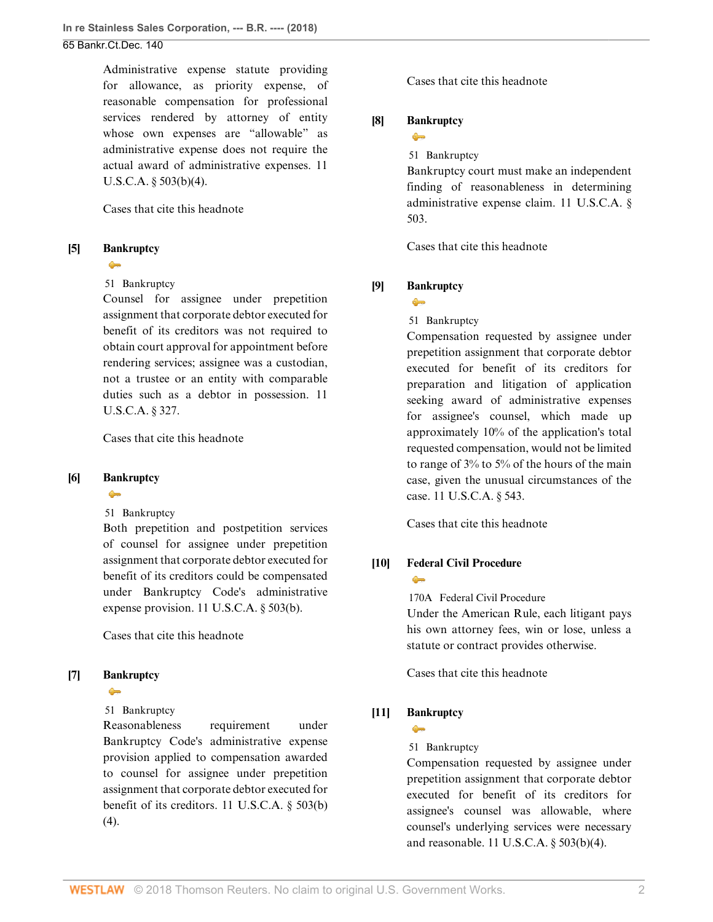Administrative expense statute providing for allowance, as priority expense, of reasonable compensation for professional services rendered by attorney of entity whose own expenses are "allowable" as administrative expense does not require the actual award of administrative expenses. [11](http://www.westlaw.com/Link/Document/FullText?findType=L&pubNum=1000546&cite=11USCAS503&originatingDoc=I146039b037bc11e888d5f23feb60b681&refType=SP&originationContext=document&vr=3.0&rs=cblt1.0&transitionType=DocumentItem&contextData=(sc.History*oc.AlertsClip)#co_pp_6ad60000aeea7) [U.S.C.A. § 503\(b\)\(4\).](http://www.westlaw.com/Link/Document/FullText?findType=L&pubNum=1000546&cite=11USCAS503&originatingDoc=I146039b037bc11e888d5f23feb60b681&refType=SP&originationContext=document&vr=3.0&rs=cblt1.0&transitionType=DocumentItem&contextData=(sc.History*oc.AlertsClip)#co_pp_6ad60000aeea7)

[Cases that cite this headnote](http://www.westlaw.com/Link/RelatedInformation/DocHeadnoteLink?docGuid=I146039b037bc11e888d5f23feb60b681&headnoteId=204423205700720180424064559&originationContext=document&vr=3.0&rs=cblt1.0&transitionType=CitingReferences&contextData=(sc.History*oc.AlertsClip))

### <span id="page-1-0"></span>**[\[5\]](#page-8-1) [Bankruptcy](http://www.westlaw.com/Browse/Home/KeyNumber/51/View.html?docGuid=I146039b037bc11e888d5f23feb60b681&originationContext=document&vr=3.0&rs=cblt1.0&transitionType=DocumentItem&contextData=(sc.History*oc.AlertsClip))**

#### $\bullet$

### [51](http://www.westlaw.com/Browse/Home/KeyNumber/51/View.html?docGuid=I146039b037bc11e888d5f23feb60b681&originationContext=document&vr=3.0&rs=cblt1.0&transitionType=DocumentItem&contextData=(sc.History*oc.AlertsClip)) Bankruptcy

Counsel for assignee under prepetition assignment that corporate debtor executed for benefit of its creditors was not required to obtain court approval for appointment before rendering services; assignee was a custodian, not a trustee or an entity with comparable duties such as a debtor in possession. [11](http://www.westlaw.com/Link/Document/FullText?findType=L&pubNum=1000546&cite=11USCAS327&originatingDoc=I146039b037bc11e888d5f23feb60b681&refType=LQ&originationContext=document&vr=3.0&rs=cblt1.0&transitionType=DocumentItem&contextData=(sc.History*oc.AlertsClip)) [U.S.C.A. § 327.](http://www.westlaw.com/Link/Document/FullText?findType=L&pubNum=1000546&cite=11USCAS327&originatingDoc=I146039b037bc11e888d5f23feb60b681&refType=LQ&originationContext=document&vr=3.0&rs=cblt1.0&transitionType=DocumentItem&contextData=(sc.History*oc.AlertsClip))

[Cases that cite this headnote](http://www.westlaw.com/Link/RelatedInformation/DocHeadnoteLink?docGuid=I146039b037bc11e888d5f23feb60b681&headnoteId=204423205700820180424064559&originationContext=document&vr=3.0&rs=cblt1.0&transitionType=CitingReferences&contextData=(sc.History*oc.AlertsClip))

## <span id="page-1-1"></span>**[\[6\]](#page-9-0) [Bankruptcy](http://www.westlaw.com/Browse/Home/KeyNumber/51/View.html?docGuid=I146039b037bc11e888d5f23feb60b681&originationContext=document&vr=3.0&rs=cblt1.0&transitionType=DocumentItem&contextData=(sc.History*oc.AlertsClip))**

### $\bullet$

[51](http://www.westlaw.com/Browse/Home/KeyNumber/51/View.html?docGuid=I146039b037bc11e888d5f23feb60b681&originationContext=document&vr=3.0&rs=cblt1.0&transitionType=DocumentItem&contextData=(sc.History*oc.AlertsClip)) Bankruptcy

Both prepetition and postpetition services of counsel for assignee under prepetition assignment that corporate debtor executed for benefit of its creditors could be compensated under Bankruptcy Code's administrative expense provision. [11 U.S.C.A. § 503\(b\)](http://www.westlaw.com/Link/Document/FullText?findType=L&pubNum=1000546&cite=11USCAS503&originatingDoc=I146039b037bc11e888d5f23feb60b681&refType=SP&originationContext=document&vr=3.0&rs=cblt1.0&transitionType=DocumentItem&contextData=(sc.History*oc.AlertsClip)#co_pp_a83b000018c76).

[Cases that cite this headnote](http://www.westlaw.com/Link/RelatedInformation/DocHeadnoteLink?docGuid=I146039b037bc11e888d5f23feb60b681&headnoteId=204423205700920180424064559&originationContext=document&vr=3.0&rs=cblt1.0&transitionType=CitingReferences&contextData=(sc.History*oc.AlertsClip))

## <span id="page-1-4"></span>**[\[7\]](#page-9-1) [Bankruptcy](http://www.westlaw.com/Browse/Home/KeyNumber/51/View.html?docGuid=I146039b037bc11e888d5f23feb60b681&originationContext=document&vr=3.0&rs=cblt1.0&transitionType=DocumentItem&contextData=(sc.History*oc.AlertsClip))**

### $\bullet$

[51](http://www.westlaw.com/Browse/Home/KeyNumber/51/View.html?docGuid=I146039b037bc11e888d5f23feb60b681&originationContext=document&vr=3.0&rs=cblt1.0&transitionType=DocumentItem&contextData=(sc.History*oc.AlertsClip)) Bankruptcy

Reasonableness requirement under Bankruptcy Code's administrative expense provision applied to compensation awarded to counsel for assignee under prepetition assignment that corporate debtor executed for benefit of its creditors. [11 U.S.C.A. § 503\(b\)](http://www.westlaw.com/Link/Document/FullText?findType=L&pubNum=1000546&cite=11USCAS503&originatingDoc=I146039b037bc11e888d5f23feb60b681&refType=SP&originationContext=document&vr=3.0&rs=cblt1.0&transitionType=DocumentItem&contextData=(sc.History*oc.AlertsClip)#co_pp_6ad60000aeea7)  $(4).$  $(4).$ 

[Cases that cite this headnote](http://www.westlaw.com/Link/RelatedInformation/DocHeadnoteLink?docGuid=I146039b037bc11e888d5f23feb60b681&headnoteId=204423205701020180424064559&originationContext=document&vr=3.0&rs=cblt1.0&transitionType=CitingReferences&contextData=(sc.History*oc.AlertsClip))

### <span id="page-1-5"></span>**[\[8\]](#page-10-0) [Bankruptcy](http://www.westlaw.com/Browse/Home/KeyNumber/51/View.html?docGuid=I146039b037bc11e888d5f23feb60b681&originationContext=document&vr=3.0&rs=cblt1.0&transitionType=DocumentItem&contextData=(sc.History*oc.AlertsClip))**  $\rightarrow$

[51](http://www.westlaw.com/Browse/Home/KeyNumber/51/View.html?docGuid=I146039b037bc11e888d5f23feb60b681&originationContext=document&vr=3.0&rs=cblt1.0&transitionType=DocumentItem&contextData=(sc.History*oc.AlertsClip)) Bankruptcy

Bankruptcy court must make an independent finding of reasonableness in determining administrative expense claim. [11 U.S.C.A. §](http://www.westlaw.com/Link/Document/FullText?findType=L&pubNum=1000546&cite=11USCAS503&originatingDoc=I146039b037bc11e888d5f23feb60b681&refType=LQ&originationContext=document&vr=3.0&rs=cblt1.0&transitionType=DocumentItem&contextData=(sc.History*oc.AlertsClip)) [503](http://www.westlaw.com/Link/Document/FullText?findType=L&pubNum=1000546&cite=11USCAS503&originatingDoc=I146039b037bc11e888d5f23feb60b681&refType=LQ&originationContext=document&vr=3.0&rs=cblt1.0&transitionType=DocumentItem&contextData=(sc.History*oc.AlertsClip)).

[Cases that cite this headnote](http://www.westlaw.com/Link/RelatedInformation/DocHeadnoteLink?docGuid=I146039b037bc11e888d5f23feb60b681&headnoteId=204423205701120180424064559&originationContext=document&vr=3.0&rs=cblt1.0&transitionType=CitingReferences&contextData=(sc.History*oc.AlertsClip))

## <span id="page-1-2"></span>**[\[9\]](#page-11-0) [Bankruptcy](http://www.westlaw.com/Browse/Home/KeyNumber/51/View.html?docGuid=I146039b037bc11e888d5f23feb60b681&originationContext=document&vr=3.0&rs=cblt1.0&transitionType=DocumentItem&contextData=(sc.History*oc.AlertsClip))**

 $\bullet$ 

### [51](http://www.westlaw.com/Browse/Home/KeyNumber/51/View.html?docGuid=I146039b037bc11e888d5f23feb60b681&originationContext=document&vr=3.0&rs=cblt1.0&transitionType=DocumentItem&contextData=(sc.History*oc.AlertsClip)) Bankruptcy

Compensation requested by assignee under prepetition assignment that corporate debtor executed for benefit of its creditors for preparation and litigation of application seeking award of administrative expenses for assignee's counsel, which made up approximately 10% of the application's total requested compensation, would not be limited to range of 3% to 5% of the hours of the main case, given the unusual circumstances of the case. [11 U.S.C.A. § 543](http://www.westlaw.com/Link/Document/FullText?findType=L&pubNum=1000546&cite=11USCAS543&originatingDoc=I146039b037bc11e888d5f23feb60b681&refType=LQ&originationContext=document&vr=3.0&rs=cblt1.0&transitionType=DocumentItem&contextData=(sc.History*oc.AlertsClip)).

[Cases that cite this headnote](http://www.westlaw.com/Link/RelatedInformation/DocHeadnoteLink?docGuid=I146039b037bc11e888d5f23feb60b681&headnoteId=204423205701220180424064559&originationContext=document&vr=3.0&rs=cblt1.0&transitionType=CitingReferences&contextData=(sc.History*oc.AlertsClip))

#### <span id="page-1-6"></span>**[\[10\]](#page-12-0) [Federal Civil Procedure](http://www.westlaw.com/Browse/Home/KeyNumber/170A/View.html?docGuid=I146039b037bc11e888d5f23feb60b681&originationContext=document&vr=3.0&rs=cblt1.0&transitionType=DocumentItem&contextData=(sc.History*oc.AlertsClip))**  $\triangle$

[170A](http://www.westlaw.com/Browse/Home/KeyNumber/170A/View.html?docGuid=I146039b037bc11e888d5f23feb60b681&originationContext=document&vr=3.0&rs=cblt1.0&transitionType=DocumentItem&contextData=(sc.History*oc.AlertsClip)) Federal Civil Procedure

Under the American Rule, each litigant pays his own attorney fees, win or lose, unless a statute or contract provides otherwise.

[Cases that cite this headnote](http://www.westlaw.com/Link/RelatedInformation/DocHeadnoteLink?docGuid=I146039b037bc11e888d5f23feb60b681&headnoteId=204423205701320180424064559&originationContext=document&vr=3.0&rs=cblt1.0&transitionType=CitingReferences&contextData=(sc.History*oc.AlertsClip))

## <span id="page-1-3"></span>**[\[11\]](#page-12-1) [Bankruptcy](http://www.westlaw.com/Browse/Home/KeyNumber/51/View.html?docGuid=I146039b037bc11e888d5f23feb60b681&originationContext=document&vr=3.0&rs=cblt1.0&transitionType=DocumentItem&contextData=(sc.History*oc.AlertsClip))**

 $\bullet$ 

[51](http://www.westlaw.com/Browse/Home/KeyNumber/51/View.html?docGuid=I146039b037bc11e888d5f23feb60b681&originationContext=document&vr=3.0&rs=cblt1.0&transitionType=DocumentItem&contextData=(sc.History*oc.AlertsClip)) Bankruptcy

Compensation requested by assignee under prepetition assignment that corporate debtor executed for benefit of its creditors for assignee's counsel was allowable, where counsel's underlying services were necessary and reasonable. [11 U.S.C.A. § 503\(b\)\(4\).](http://www.westlaw.com/Link/Document/FullText?findType=L&pubNum=1000546&cite=11USCAS503&originatingDoc=I146039b037bc11e888d5f23feb60b681&refType=SP&originationContext=document&vr=3.0&rs=cblt1.0&transitionType=DocumentItem&contextData=(sc.History*oc.AlertsClip)#co_pp_6ad60000aeea7)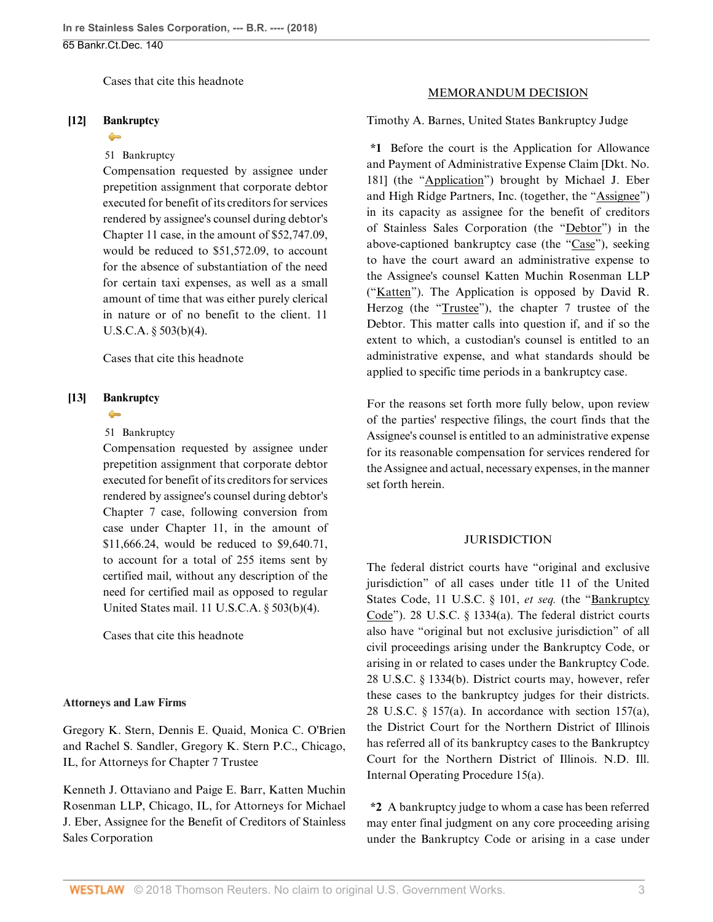[Cases that cite this headnote](http://www.westlaw.com/Link/RelatedInformation/DocHeadnoteLink?docGuid=I146039b037bc11e888d5f23feb60b681&headnoteId=204423205701420180424064559&originationContext=document&vr=3.0&rs=cblt1.0&transitionType=CitingReferences&contextData=(sc.History*oc.AlertsClip))

#### <span id="page-2-0"></span>**[\[12\]](#page-13-0) [Bankruptcy](http://www.westlaw.com/Browse/Home/KeyNumber/51/View.html?docGuid=I146039b037bc11e888d5f23feb60b681&originationContext=document&vr=3.0&rs=cblt1.0&transitionType=DocumentItem&contextData=(sc.History*oc.AlertsClip))**

#### $\rightarrow$

### [51](http://www.westlaw.com/Browse/Home/KeyNumber/51/View.html?docGuid=I146039b037bc11e888d5f23feb60b681&originationContext=document&vr=3.0&rs=cblt1.0&transitionType=DocumentItem&contextData=(sc.History*oc.AlertsClip)) Bankruptcy

Compensation requested by assignee under prepetition assignment that corporate debtor executed for benefit of its creditors for services rendered by assignee's counsel during debtor's Chapter 11 case, in the amount of \$52,747.09, would be reduced to \$51,572.09, to account for the absence of substantiation of the need for certain taxi expenses, as well as a small amount of time that was either purely clerical in nature or of no benefit to the client. [11](http://www.westlaw.com/Link/Document/FullText?findType=L&pubNum=1000546&cite=11USCAS503&originatingDoc=I146039b037bc11e888d5f23feb60b681&refType=SP&originationContext=document&vr=3.0&rs=cblt1.0&transitionType=DocumentItem&contextData=(sc.History*oc.AlertsClip)#co_pp_6ad60000aeea7) [U.S.C.A. § 503\(b\)\(4\).](http://www.westlaw.com/Link/Document/FullText?findType=L&pubNum=1000546&cite=11USCAS503&originatingDoc=I146039b037bc11e888d5f23feb60b681&refType=SP&originationContext=document&vr=3.0&rs=cblt1.0&transitionType=DocumentItem&contextData=(sc.History*oc.AlertsClip)#co_pp_6ad60000aeea7)

[Cases that cite this headnote](http://www.westlaw.com/Link/RelatedInformation/DocHeadnoteLink?docGuid=I146039b037bc11e888d5f23feb60b681&headnoteId=204423205701520180424064559&originationContext=document&vr=3.0&rs=cblt1.0&transitionType=CitingReferences&contextData=(sc.History*oc.AlertsClip))

### <span id="page-2-1"></span>**[\[13\]](#page-13-1) [Bankruptcy](http://www.westlaw.com/Browse/Home/KeyNumber/51/View.html?docGuid=I146039b037bc11e888d5f23feb60b681&originationContext=document&vr=3.0&rs=cblt1.0&transitionType=DocumentItem&contextData=(sc.History*oc.AlertsClip))**

# $\rightarrow$

## [51](http://www.westlaw.com/Browse/Home/KeyNumber/51/View.html?docGuid=I146039b037bc11e888d5f23feb60b681&originationContext=document&vr=3.0&rs=cblt1.0&transitionType=DocumentItem&contextData=(sc.History*oc.AlertsClip)) Bankruptcy

Compensation requested by assignee under prepetition assignment that corporate debtor executed for benefit of its creditors for services rendered by assignee's counsel during debtor's Chapter 7 case, following conversion from case under Chapter 11, in the amount of \$11,666.24, would be reduced to \$9,640.71, to account for a total of 255 items sent by certified mail, without any description of the need for certified mail as opposed to regular United States mail. [11 U.S.C.A. § 503\(b\)\(4\)](http://www.westlaw.com/Link/Document/FullText?findType=L&pubNum=1000546&cite=11USCAS503&originatingDoc=I146039b037bc11e888d5f23feb60b681&refType=SP&originationContext=document&vr=3.0&rs=cblt1.0&transitionType=DocumentItem&contextData=(sc.History*oc.AlertsClip)#co_pp_6ad60000aeea7).

[Cases that cite this headnote](http://www.westlaw.com/Link/RelatedInformation/DocHeadnoteLink?docGuid=I146039b037bc11e888d5f23feb60b681&headnoteId=204423205701620180424064559&originationContext=document&vr=3.0&rs=cblt1.0&transitionType=CitingReferences&contextData=(sc.History*oc.AlertsClip))

#### **Attorneys and Law Firms**

[Gregory K. Stern](http://www.westlaw.com/Link/Document/FullText?findType=h&pubNum=176284&cite=0139692801&originatingDoc=I146039b037bc11e888d5f23feb60b681&refType=RQ&originationContext=document&vr=3.0&rs=cblt1.0&transitionType=DocumentItem&contextData=(sc.History*oc.AlertsClip)), [Dennis E. Quaid,](http://www.westlaw.com/Link/Document/FullText?findType=h&pubNum=176284&cite=0172192101&originatingDoc=I146039b037bc11e888d5f23feb60b681&refType=RQ&originationContext=document&vr=3.0&rs=cblt1.0&transitionType=DocumentItem&contextData=(sc.History*oc.AlertsClip)) [Monica C. O'Brien](http://www.westlaw.com/Link/Document/FullText?findType=h&pubNum=176284&cite=0209353901&originatingDoc=I146039b037bc11e888d5f23feb60b681&refType=RQ&originationContext=document&vr=3.0&rs=cblt1.0&transitionType=DocumentItem&contextData=(sc.History*oc.AlertsClip)) and [Rachel S. Sandler,](http://www.westlaw.com/Link/Document/FullText?findType=h&pubNum=176284&cite=0491719701&originatingDoc=I146039b037bc11e888d5f23feb60b681&refType=RQ&originationContext=document&vr=3.0&rs=cblt1.0&transitionType=DocumentItem&contextData=(sc.History*oc.AlertsClip)) Gregory K. Stern P.C., Chicago, IL, for Attorneys for Chapter 7 Trustee

[Kenneth J. Ottaviano](http://www.westlaw.com/Link/Document/FullText?findType=h&pubNum=176284&cite=0313183901&originatingDoc=I146039b037bc11e888d5f23feb60b681&refType=RQ&originationContext=document&vr=3.0&rs=cblt1.0&transitionType=DocumentItem&contextData=(sc.History*oc.AlertsClip)) and [Paige E. Barr](http://www.westlaw.com/Link/Document/FullText?findType=h&pubNum=176284&cite=0344795901&originatingDoc=I146039b037bc11e888d5f23feb60b681&refType=RQ&originationContext=document&vr=3.0&rs=cblt1.0&transitionType=DocumentItem&contextData=(sc.History*oc.AlertsClip)), Katten Muchin Rosenman LLP, Chicago, IL, for Attorneys for Michael J. Eber, Assignee for the Benefit of Creditors of Stainless Sales Corporation

#### MEMORANDUM DECISION

[Timothy A. Barnes,](http://www.westlaw.com/Link/Document/FullText?findType=h&pubNum=176284&cite=0319083401&originatingDoc=I146039b037bc11e888d5f23feb60b681&refType=RQ&originationContext=document&vr=3.0&rs=cblt1.0&transitionType=DocumentItem&contextData=(sc.History*oc.AlertsClip)) United States Bankruptcy Judge

**\*1** Before the court is the Application for Allowance and Payment of Administrative Expense Claim [Dkt. No. 181] (the "Application") brought by Michael J. Eber and High Ridge Partners, Inc. (together, the "Assignee") in its capacity as assignee for the benefit of creditors of Stainless Sales Corporation (the "Debtor") in the above-captioned bankruptcy case (the "Case"), seeking to have the court award an administrative expense to the Assignee's counsel Katten Muchin Rosenman LLP ("Katten"). The Application is opposed by David R. Herzog (the "Trustee"), the chapter 7 trustee of the Debtor. This matter calls into question if, and if so the extent to which, a custodian's counsel is entitled to an administrative expense, and what standards should be applied to specific time periods in a bankruptcy case.

For the reasons set forth more fully below, upon review of the parties' respective filings, the court finds that the Assignee's counsel is entitled to an administrative expense for its reasonable compensation for services rendered for the Assignee and actual, necessary expenses, in the manner set forth herein.

### **JURISDICTION**

The federal district courts have "original and exclusive jurisdiction" of all cases under title 11 of the United States Code, [11 U.S.C. § 101,](http://www.westlaw.com/Link/Document/FullText?findType=L&pubNum=1000546&cite=11USCAS101&originatingDoc=I146039b037bc11e888d5f23feb60b681&refType=LQ&originationContext=document&vr=3.0&rs=cblt1.0&transitionType=DocumentItem&contextData=(sc.History*oc.AlertsClip)) *et seq.* (the "Bankruptcy Code"). [28 U.S.C. § 1334\(a\)](http://www.westlaw.com/Link/Document/FullText?findType=L&pubNum=1000546&cite=28USCAS1334&originatingDoc=I146039b037bc11e888d5f23feb60b681&refType=SP&originationContext=document&vr=3.0&rs=cblt1.0&transitionType=DocumentItem&contextData=(sc.History*oc.AlertsClip)#co_pp_8b3b0000958a4). The federal district courts also have "original but not exclusive jurisdiction" of all civil proceedings arising under the Bankruptcy Code, or arising in or related to cases under the Bankruptcy Code. [28 U.S.C. § 1334\(b\)](http://www.westlaw.com/Link/Document/FullText?findType=L&pubNum=1000546&cite=28USCAS1334&originatingDoc=I146039b037bc11e888d5f23feb60b681&refType=SP&originationContext=document&vr=3.0&rs=cblt1.0&transitionType=DocumentItem&contextData=(sc.History*oc.AlertsClip)#co_pp_a83b000018c76). District courts may, however, refer these cases to the bankruptcy judges for their districts. [28 U.S.C. § 157\(a\).](http://www.westlaw.com/Link/Document/FullText?findType=L&pubNum=1000546&cite=28USCAS157&originatingDoc=I146039b037bc11e888d5f23feb60b681&refType=SP&originationContext=document&vr=3.0&rs=cblt1.0&transitionType=DocumentItem&contextData=(sc.History*oc.AlertsClip)#co_pp_8b3b0000958a4) In accordance with [section 157\(a\)](http://www.westlaw.com/Link/Document/FullText?findType=L&pubNum=1000546&cite=28USCAS157&originatingDoc=I146039b037bc11e888d5f23feb60b681&refType=SP&originationContext=document&vr=3.0&rs=cblt1.0&transitionType=DocumentItem&contextData=(sc.History*oc.AlertsClip)#co_pp_8b3b0000958a4), the District Court for the Northern District of Illinois has referred all of its bankruptcy cases to the Bankruptcy Court for the Northern District of Illinois. N.D. Ill. Internal Operating Procedure 15(a).

**\*2** A bankruptcy judge to whom a case has been referred may enter final judgment on any core proceeding arising under the Bankruptcy Code or arising in a case under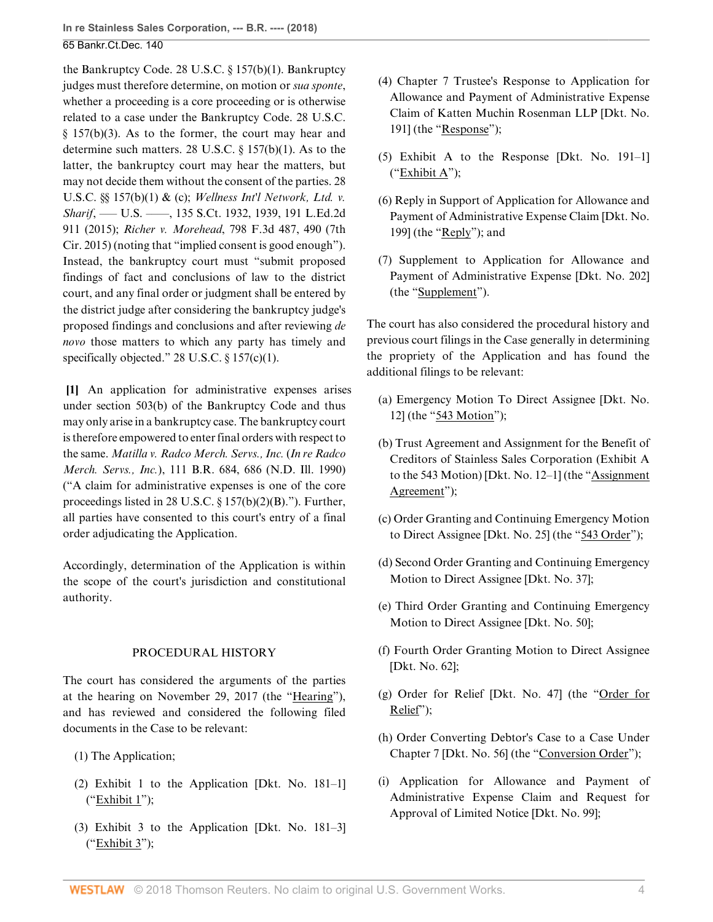the Bankruptcy Code. [28 U.S.C. § 157\(b\)\(1\)](http://www.westlaw.com/Link/Document/FullText?findType=L&pubNum=1000546&cite=28USCAS157&originatingDoc=I146039b037bc11e888d5f23feb60b681&refType=SP&originationContext=document&vr=3.0&rs=cblt1.0&transitionType=DocumentItem&contextData=(sc.History*oc.AlertsClip)#co_pp_3fed000053a85). Bankruptcy judges must therefore determine, on motion or *sua sponte*, whether a proceeding is a core proceeding or is otherwise related to a case under the Bankruptcy Code. [28 U.S.C.](http://www.westlaw.com/Link/Document/FullText?findType=L&pubNum=1000546&cite=28USCAS157&originatingDoc=I146039b037bc11e888d5f23feb60b681&refType=SP&originationContext=document&vr=3.0&rs=cblt1.0&transitionType=DocumentItem&contextData=(sc.History*oc.AlertsClip)#co_pp_d801000002763)  $§$  157(b)(3). As to the former, the court may hear and determine such matters. [28 U.S.C. § 157\(b\)\(1\)](http://www.westlaw.com/Link/Document/FullText?findType=L&pubNum=1000546&cite=28USCAS157&originatingDoc=I146039b037bc11e888d5f23feb60b681&refType=SP&originationContext=document&vr=3.0&rs=cblt1.0&transitionType=DocumentItem&contextData=(sc.History*oc.AlertsClip)#co_pp_3fed000053a85). As to the latter, the bankruptcy court may hear the matters, but may not decide them without the consent of the parties. [28](http://www.westlaw.com/Link/Document/FullText?findType=L&pubNum=1000546&cite=28USCAS157&originatingDoc=I146039b037bc11e888d5f23feb60b681&refType=SP&originationContext=document&vr=3.0&rs=cblt1.0&transitionType=DocumentItem&contextData=(sc.History*oc.AlertsClip)#co_pp_3fed000053a85) [U.S.C. §§ 157\(b\)\(1\)](http://www.westlaw.com/Link/Document/FullText?findType=L&pubNum=1000546&cite=28USCAS157&originatingDoc=I146039b037bc11e888d5f23feb60b681&refType=SP&originationContext=document&vr=3.0&rs=cblt1.0&transitionType=DocumentItem&contextData=(sc.History*oc.AlertsClip)#co_pp_3fed000053a85) & [\(c\)](http://www.westlaw.com/Link/Document/FullText?findType=L&pubNum=1000546&cite=28USCAS157&originatingDoc=I146039b037bc11e888d5f23feb60b681&refType=SP&originationContext=document&vr=3.0&rs=cblt1.0&transitionType=DocumentItem&contextData=(sc.History*oc.AlertsClip)#co_pp_4b24000003ba5); *[Wellness Int'l Network, Ltd. v.](http://www.westlaw.com/Link/Document/FullText?findType=Y&serNum=2036340204&pubNum=0000708&originatingDoc=I146039b037bc11e888d5f23feb60b681&refType=RP&fi=co_pp_sp_708_1939&originationContext=document&vr=3.0&rs=cblt1.0&transitionType=DocumentItem&contextData=(sc.History*oc.AlertsClip)#co_pp_sp_708_1939) Sharif*, — U.S. — , 135 S.Ct. 1932, 1939, 191 L.Ed.2d [911 \(2015\)](http://www.westlaw.com/Link/Document/FullText?findType=Y&serNum=2036340204&pubNum=0000708&originatingDoc=I146039b037bc11e888d5f23feb60b681&refType=RP&fi=co_pp_sp_708_1939&originationContext=document&vr=3.0&rs=cblt1.0&transitionType=DocumentItem&contextData=(sc.History*oc.AlertsClip)#co_pp_sp_708_1939); *Richer v. Morehead*[, 798 F.3d 487, 490 \(7th](http://www.westlaw.com/Link/Document/FullText?findType=Y&serNum=2036863110&pubNum=0000506&originatingDoc=I146039b037bc11e888d5f23feb60b681&refType=RP&fi=co_pp_sp_506_490&originationContext=document&vr=3.0&rs=cblt1.0&transitionType=DocumentItem&contextData=(sc.History*oc.AlertsClip)#co_pp_sp_506_490) [Cir. 2015\)](http://www.westlaw.com/Link/Document/FullText?findType=Y&serNum=2036863110&pubNum=0000506&originatingDoc=I146039b037bc11e888d5f23feb60b681&refType=RP&fi=co_pp_sp_506_490&originationContext=document&vr=3.0&rs=cblt1.0&transitionType=DocumentItem&contextData=(sc.History*oc.AlertsClip)#co_pp_sp_506_490) (noting that "implied consent is good enough"). Instead, the bankruptcy court must "submit proposed findings of fact and conclusions of law to the district court, and any final order or judgment shall be entered by the district judge after considering the bankruptcy judge's proposed findings and conclusions and after reviewing *de novo* those matters to which any party has timely and specifically objected." [28 U.S.C. § 157\(c\)\(1\)](http://www.westlaw.com/Link/Document/FullText?findType=L&pubNum=1000546&cite=28USCAS157&originatingDoc=I146039b037bc11e888d5f23feb60b681&refType=SP&originationContext=document&vr=3.0&rs=cblt1.0&transitionType=DocumentItem&contextData=(sc.History*oc.AlertsClip)#co_pp_10c0000001331).

<span id="page-3-0"></span>**[\[1](#page-0-0)]** An application for administrative expenses arises under [section 503\(b\) of the Bankruptcy Code](http://www.westlaw.com/Link/Document/FullText?findType=L&pubNum=1000611&cite=11USCAS503&originatingDoc=I146039b037bc11e888d5f23feb60b681&refType=LQ&originationContext=document&vr=3.0&rs=cblt1.0&transitionType=DocumentItem&contextData=(sc.History*oc.AlertsClip)) and thus may only arise in a bankruptcy case. The bankruptcy court is therefore empowered to enter final orders with respect to the same. *[Matilla v. Radco Merch. Servs., Inc.](http://www.westlaw.com/Link/Document/FullText?findType=Y&serNum=1990045643&pubNum=0000164&originatingDoc=I146039b037bc11e888d5f23feb60b681&refType=RP&fi=co_pp_sp_164_686&originationContext=document&vr=3.0&rs=cblt1.0&transitionType=DocumentItem&contextData=(sc.History*oc.AlertsClip)#co_pp_sp_164_686)* (*In re Radco Merch. Servs., Inc.*[\), 111 B.R. 684, 686 \(N.D. Ill. 1990\)](http://www.westlaw.com/Link/Document/FullText?findType=Y&serNum=1990045643&pubNum=0000164&originatingDoc=I146039b037bc11e888d5f23feb60b681&refType=RP&fi=co_pp_sp_164_686&originationContext=document&vr=3.0&rs=cblt1.0&transitionType=DocumentItem&contextData=(sc.History*oc.AlertsClip)#co_pp_sp_164_686) ("A claim for administrative expenses is one of the core proceedings listed in [28 U.S.C. § 157\(b\)\(2\)\(B\).](http://www.westlaw.com/Link/Document/FullText?findType=L&pubNum=1000546&cite=28USCAS157&originatingDoc=I146039b037bc11e888d5f23feb60b681&refType=SP&originationContext=document&vr=3.0&rs=cblt1.0&transitionType=DocumentItem&contextData=(sc.History*oc.AlertsClip)#co_pp_424e0000ad683)"). Further, all parties have consented to this court's entry of a final order adjudicating the Application.

Accordingly, determination of the Application is within the scope of the court's jurisdiction and constitutional authority.

### PROCEDURAL HISTORY

The court has considered the arguments of the parties at the hearing on November 29, 2017 (the "Hearing"), and has reviewed and considered the following filed documents in the Case to be relevant:

(1) The Application;

- (2) Exhibit 1 to the Application [Dkt. No. 181–1]  $("Exhibit 1")$ ;
- (3) Exhibit 3 to the Application [Dkt. No. 181–3] ("Exhibit 3");
- (4) Chapter 7 Trustee's Response to Application for Allowance and Payment of Administrative Expense Claim of Katten Muchin Rosenman LLP [Dkt. No. 191] (the "Response");
- (5) Exhibit A to the Response [Dkt. No. 191–1] ("Exhibit A");
- (6) Reply in Support of Application for Allowance and Payment of Administrative Expense Claim [Dkt. No. 199] (the "Reply"); and
- (7) Supplement to Application for Allowance and Payment of Administrative Expense [Dkt. No. 202] (the "Supplement").

The court has also considered the procedural history and previous court filings in the Case generally in determining the propriety of the Application and has found the additional filings to be relevant:

- (a) Emergency Motion To Direct Assignee [Dkt. No. 12] (the "543 Motion");
- (b) Trust Agreement and Assignment for the Benefit of Creditors of Stainless Sales Corporation (Exhibit A to the 543 Motion) [Dkt. No. 12–1] (the "Assignment Agreement");
- (c) Order Granting and Continuing Emergency Motion to Direct Assignee [Dkt. No. 25] (the "543 Order");
- (d) Second Order Granting and Continuing Emergency Motion to Direct Assignee [Dkt. No. 37];
- (e) Third Order Granting and Continuing Emergency Motion to Direct Assignee [Dkt. No. 50];
- (f) Fourth Order Granting Motion to Direct Assignee [Dkt. No. 62];
- (g) Order for Relief [Dkt. No. 47] (the "Order for Relief");
- (h) Order Converting Debtor's Case to a Case Under Chapter 7 [Dkt. No. 56] (the "Conversion Order");
- (i) Application for Allowance and Payment of Administrative Expense Claim and Request for Approval of Limited Notice [Dkt. No. 99];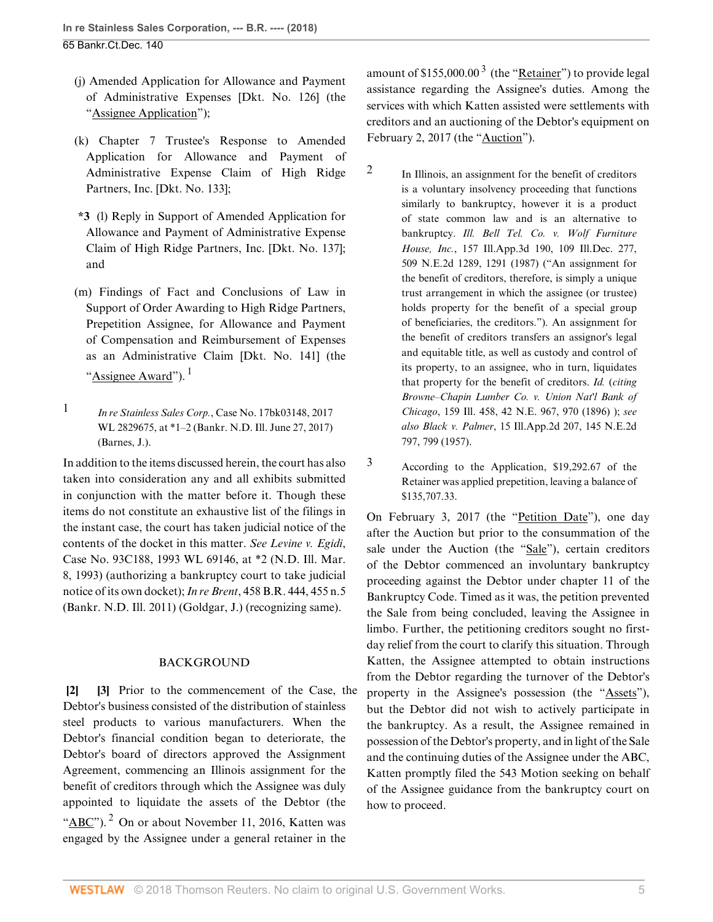- (j) Amended Application for Allowance and Payment of Administrative Expenses [Dkt. No. 126] (the "Assignee Application");
- (k) Chapter 7 Trustee's Response to Amended Application for Allowance and Payment of Administrative Expense Claim of High Ridge Partners, Inc. [Dkt. No. 133];
- **\*3** (l) Reply in Support of Amended Application for Allowance and Payment of Administrative Expense Claim of High Ridge Partners, Inc. [Dkt. No. 137]; and
- (m) Findings of Fact and Conclusions of Law in Support of Order Awarding to High Ridge Partners, Prepetition Assignee, for Allowance and Payment of Compensation and Reimbursement of Expenses as an Administrative Claim [Dkt. No. 141] (the "Assignee Award").<sup>[1](#page-4-2)</sup>
- <span id="page-4-3"></span><span id="page-4-2"></span>[1](#page-4-3) *In re Stainless Sales Corp.*[, Case No. 17bk03148, 2017](http://www.westlaw.com/Link/Document/FullText?findType=Y&serNum=2041985122&pubNum=0000999&originatingDoc=I146039b037bc11e888d5f23feb60b681&refType=RP&originationContext=document&vr=3.0&rs=cblt1.0&transitionType=DocumentItem&contextData=(sc.History*oc.AlertsClip)) [WL 2829675, at \\*1–2 \(Bankr. N.D. Ill. June 27, 2017\)](http://www.westlaw.com/Link/Document/FullText?findType=Y&serNum=2041985122&pubNum=0000999&originatingDoc=I146039b037bc11e888d5f23feb60b681&refType=RP&originationContext=document&vr=3.0&rs=cblt1.0&transitionType=DocumentItem&contextData=(sc.History*oc.AlertsClip)) (Barnes, J.).

In addition to the items discussed herein, the court has also taken into consideration any and all exhibits submitted in conjunction with the matter before it. Though these items do not constitute an exhaustive list of the filings in the instant case, the court has taken judicial notice of the contents of the docket in this matter. *See [Levine v. Egidi](http://www.westlaw.com/Link/Document/FullText?findType=Y&serNum=1993067439&pubNum=0000999&originatingDoc=I146039b037bc11e888d5f23feb60b681&refType=RP&originationContext=document&vr=3.0&rs=cblt1.0&transitionType=DocumentItem&contextData=(sc.History*oc.AlertsClip))*, [Case No. 93C188, 1993 WL 69146, at \\*2 \(N.D. Ill. Mar.](http://www.westlaw.com/Link/Document/FullText?findType=Y&serNum=1993067439&pubNum=0000999&originatingDoc=I146039b037bc11e888d5f23feb60b681&refType=RP&originationContext=document&vr=3.0&rs=cblt1.0&transitionType=DocumentItem&contextData=(sc.History*oc.AlertsClip)) [8, 1993\)](http://www.westlaw.com/Link/Document/FullText?findType=Y&serNum=1993067439&pubNum=0000999&originatingDoc=I146039b037bc11e888d5f23feb60b681&refType=RP&originationContext=document&vr=3.0&rs=cblt1.0&transitionType=DocumentItem&contextData=(sc.History*oc.AlertsClip)) (authorizing a bankruptcy court to take judicial notice of its own docket); *In re Brent*[, 458 B.R. 444, 455 n.5](http://www.westlaw.com/Link/Document/FullText?findType=Y&serNum=2026250082&pubNum=0000164&originatingDoc=I146039b037bc11e888d5f23feb60b681&refType=RP&fi=co_pp_sp_164_455&originationContext=document&vr=3.0&rs=cblt1.0&transitionType=DocumentItem&contextData=(sc.History*oc.AlertsClip)#co_pp_sp_164_455) [\(Bankr. N.D. Ill. 2011\)](http://www.westlaw.com/Link/Document/FullText?findType=Y&serNum=2026250082&pubNum=0000164&originatingDoc=I146039b037bc11e888d5f23feb60b681&refType=RP&fi=co_pp_sp_164_455&originationContext=document&vr=3.0&rs=cblt1.0&transitionType=DocumentItem&contextData=(sc.History*oc.AlertsClip)#co_pp_sp_164_455) (Goldgar, J.) (recognizing same).

### <span id="page-4-1"></span>BACKGROUND

<span id="page-4-6"></span><span id="page-4-0"></span>**[\[2](#page-0-1)] [\[3](#page-0-2)]** Prior to the commencement of the Case, the Debtor's business consisted of the distribution of stainless steel products to various manufacturers. When the Debtor's financial condition began to deteriorate, the Debtor's board of directors approved the Assignment Agreement, commencing an Illinois assignment for the benefit of creditors through which the Assignee was duly appointed to liquidate the assets of the Debtor (the " $\angle ABC$ ").<sup>[2](#page-4-4)</sup> On or about November 11, 2016, Katten was engaged by the Assignee under a general retainer in the

<span id="page-4-7"></span>amount of \$155,000.00<sup>[3](#page-4-5)</sup> (the "<u>Retainer</u>") to provide legal assistance regarding the Assignee's duties. Among the services with which Katten assisted were settlements with creditors and an auctioning of the Debtor's equipment on February 2, 2017 (the "Auction").

- <span id="page-4-4"></span>[2](#page-4-6) In Illinois, an assignment for the benefit of creditors is a voluntary insolvency proceeding that functions similarly to bankruptcy, however it is a product of state common law and is an alternative to bankruptcy. *[Ill. Bell Tel. Co. v. Wolf Furniture](http://www.westlaw.com/Link/Document/FullText?findType=Y&serNum=1987070221&pubNum=0000578&originatingDoc=I146039b037bc11e888d5f23feb60b681&refType=RP&fi=co_pp_sp_578_1291&originationContext=document&vr=3.0&rs=cblt1.0&transitionType=DocumentItem&contextData=(sc.History*oc.AlertsClip)#co_pp_sp_578_1291) House, Inc.*[, 157 Ill.App.3d 190, 109 Ill.Dec. 277,](http://www.westlaw.com/Link/Document/FullText?findType=Y&serNum=1987070221&pubNum=0000578&originatingDoc=I146039b037bc11e888d5f23feb60b681&refType=RP&fi=co_pp_sp_578_1291&originationContext=document&vr=3.0&rs=cblt1.0&transitionType=DocumentItem&contextData=(sc.History*oc.AlertsClip)#co_pp_sp_578_1291) [509 N.E.2d 1289, 1291 \(1987\)](http://www.westlaw.com/Link/Document/FullText?findType=Y&serNum=1987070221&pubNum=0000578&originatingDoc=I146039b037bc11e888d5f23feb60b681&refType=RP&fi=co_pp_sp_578_1291&originationContext=document&vr=3.0&rs=cblt1.0&transitionType=DocumentItem&contextData=(sc.History*oc.AlertsClip)#co_pp_sp_578_1291) ("An assignment for the benefit of creditors, therefore, is simply a unique trust arrangement in which the assignee (or trustee) holds property for the benefit of a special group of beneficiaries, the creditors."). An assignment for the benefit of creditors transfers an assignor's legal and equitable title, as well as custody and control of its property, to an assignee, who in turn, liquidates that property for the benefit of creditors. *[Id.](http://www.westlaw.com/Link/Document/FullText?findType=Y&serNum=1987070221&pubNum=0000435&originatingDoc=I146039b037bc11e888d5f23feb60b681&refType=RP&originationContext=document&vr=3.0&rs=cblt1.0&transitionType=DocumentItem&contextData=(sc.History*oc.AlertsClip))* (*citing [Browne–Chapin Lumber Co. v. Union Nat'l Bank of](http://www.westlaw.com/Link/Document/FullText?findType=Y&serNum=1896001202&pubNum=0000577&originatingDoc=I146039b037bc11e888d5f23feb60b681&refType=RP&fi=co_pp_sp_577_970&originationContext=document&vr=3.0&rs=cblt1.0&transitionType=DocumentItem&contextData=(sc.History*oc.AlertsClip)#co_pp_sp_577_970) Chicago*[, 159 Ill. 458, 42 N.E. 967, 970 \(1896\)](http://www.westlaw.com/Link/Document/FullText?findType=Y&serNum=1896001202&pubNum=0000577&originatingDoc=I146039b037bc11e888d5f23feb60b681&refType=RP&fi=co_pp_sp_577_970&originationContext=document&vr=3.0&rs=cblt1.0&transitionType=DocumentItem&contextData=(sc.History*oc.AlertsClip)#co_pp_sp_577_970) ); *see also Black v. Palmer*[, 15 Ill.App.2d 207, 145 N.E.2d](http://www.westlaw.com/Link/Document/FullText?findType=Y&serNum=1957112440&pubNum=0000578&originatingDoc=I146039b037bc11e888d5f23feb60b681&refType=RP&fi=co_pp_sp_578_799&originationContext=document&vr=3.0&rs=cblt1.0&transitionType=DocumentItem&contextData=(sc.History*oc.AlertsClip)#co_pp_sp_578_799) [797, 799 \(1957\).](http://www.westlaw.com/Link/Document/FullText?findType=Y&serNum=1957112440&pubNum=0000578&originatingDoc=I146039b037bc11e888d5f23feb60b681&refType=RP&fi=co_pp_sp_578_799&originationContext=document&vr=3.0&rs=cblt1.0&transitionType=DocumentItem&contextData=(sc.History*oc.AlertsClip)#co_pp_sp_578_799)
- <span id="page-4-5"></span>[3](#page-4-7) According to the Application, \$19,292.67 of the Retainer was applied prepetition, leaving a balance of \$135,707.33.

On February 3, 2017 (the "Petition Date"), one day after the Auction but prior to the consummation of the sale under the Auction (the "Sale"), certain creditors of the Debtor commenced an involuntary bankruptcy proceeding against the Debtor under chapter 11 of the Bankruptcy Code. Timed as it was, the petition prevented the Sale from being concluded, leaving the Assignee in limbo. Further, the petitioning creditors sought no firstday relief from the court to clarify this situation. Through Katten, the Assignee attempted to obtain instructions from the Debtor regarding the turnover of the Debtor's property in the Assignee's possession (the "Assets"), but the Debtor did not wish to actively participate in the bankruptcy. As a result, the Assignee remained in possession of the Debtor's property, and in light of the Sale and the continuing duties of the Assignee under the ABC, Katten promptly filed the 543 Motion seeking on behalf of the Assignee guidance from the bankruptcy court on how to proceed.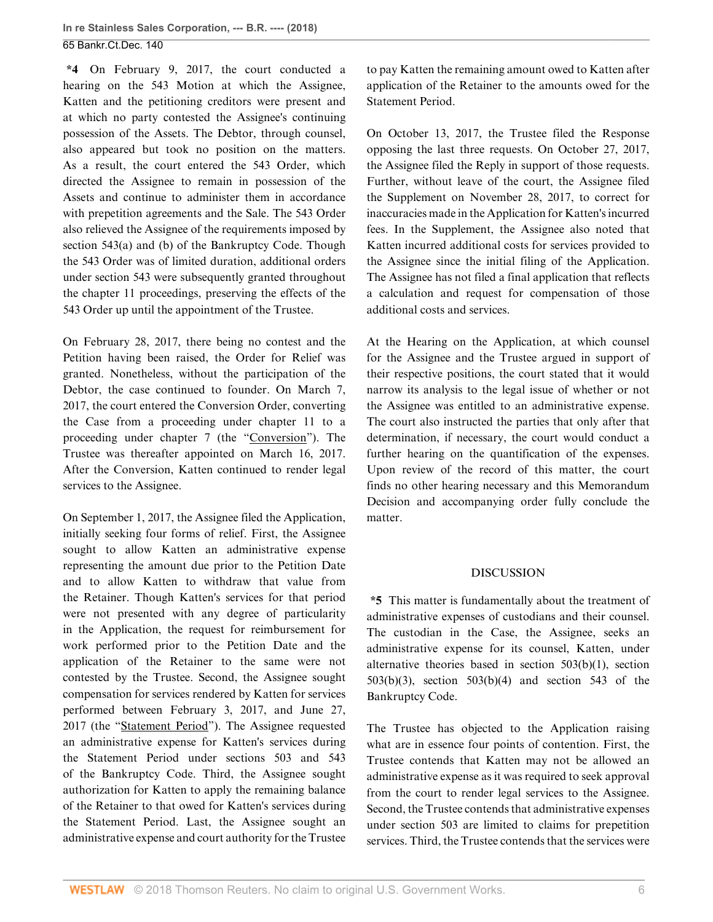**\*4** On February 9, 2017, the court conducted a hearing on the 543 Motion at which the Assignee, Katten and the petitioning creditors were present and at which no party contested the Assignee's continuing possession of the Assets. The Debtor, through counsel, also appeared but took no position on the matters. As a result, the court entered the 543 Order, which directed the Assignee to remain in possession of the Assets and continue to administer them in accordance with prepetition agreements and the Sale. The 543 Order also relieved the Assignee of the requirements imposed by [section 543\(a\) and \(b\) of the Bankruptcy Code](http://www.westlaw.com/Link/Document/FullText?findType=L&pubNum=1000611&cite=11USCAS543&originatingDoc=I146039b037bc11e888d5f23feb60b681&refType=LQ&originationContext=document&vr=3.0&rs=cblt1.0&transitionType=DocumentItem&contextData=(sc.History*oc.AlertsClip)). Though the 543 Order was of limited duration, additional orders under [section 543](http://www.westlaw.com/Link/Document/FullText?findType=L&pubNum=1000611&cite=11USCAS543&originatingDoc=I146039b037bc11e888d5f23feb60b681&refType=LQ&originationContext=document&vr=3.0&rs=cblt1.0&transitionType=DocumentItem&contextData=(sc.History*oc.AlertsClip)) were subsequently granted throughout the chapter 11 proceedings, preserving the effects of the 543 Order up until the appointment of the Trustee.

On February 28, 2017, there being no contest and the Petition having been raised, the Order for Relief was granted. Nonetheless, without the participation of the Debtor, the case continued to founder. On March 7, 2017, the court entered the Conversion Order, converting the Case from a proceeding under chapter 11 to a proceeding under chapter 7 (the "Conversion"). The Trustee was thereafter appointed on March 16, 2017. After the Conversion, Katten continued to render legal services to the Assignee.

On September 1, 2017, the Assignee filed the Application, initially seeking four forms of relief. First, the Assignee sought to allow Katten an administrative expense representing the amount due prior to the Petition Date and to allow Katten to withdraw that value from the Retainer. Though Katten's services for that period were not presented with any degree of particularity in the Application, the request for reimbursement for work performed prior to the Petition Date and the application of the Retainer to the same were not contested by the Trustee. Second, the Assignee sought compensation for services rendered by Katten for services performed between February 3, 2017, and June 27, 2017 (the "Statement Period"). The Assignee requested an administrative expense for Katten's services during the Statement Period under [sections 503](http://www.westlaw.com/Link/Document/FullText?findType=L&pubNum=1000611&cite=11USCAS503&originatingDoc=I146039b037bc11e888d5f23feb60b681&refType=LQ&originationContext=document&vr=3.0&rs=cblt1.0&transitionType=DocumentItem&contextData=(sc.History*oc.AlertsClip)) and [543](http://www.westlaw.com/Link/Document/FullText?findType=L&pubNum=1000611&cite=11USCAS543&originatingDoc=I146039b037bc11e888d5f23feb60b681&refType=LQ&originationContext=document&vr=3.0&rs=cblt1.0&transitionType=DocumentItem&contextData=(sc.History*oc.AlertsClip)) [of the Bankruptcy Code.](http://www.westlaw.com/Link/Document/FullText?findType=L&pubNum=1000611&cite=11USCAS543&originatingDoc=I146039b037bc11e888d5f23feb60b681&refType=LQ&originationContext=document&vr=3.0&rs=cblt1.0&transitionType=DocumentItem&contextData=(sc.History*oc.AlertsClip)) Third, the Assignee sought authorization for Katten to apply the remaining balance of the Retainer to that owed for Katten's services during the Statement Period. Last, the Assignee sought an administrative expense and court authority for the Trustee to pay Katten the remaining amount owed to Katten after application of the Retainer to the amounts owed for the Statement Period.

On October 13, 2017, the Trustee filed the Response opposing the last three requests. On October 27, 2017, the Assignee filed the Reply in support of those requests. Further, without leave of the court, the Assignee filed the Supplement on November 28, 2017, to correct for inaccuracies made in the Application for Katten's incurred fees. In the Supplement, the Assignee also noted that Katten incurred additional costs for services provided to the Assignee since the initial filing of the Application. The Assignee has not filed a final application that reflects a calculation and request for compensation of those additional costs and services.

At the Hearing on the Application, at which counsel for the Assignee and the Trustee argued in support of their respective positions, the court stated that it would narrow its analysis to the legal issue of whether or not the Assignee was entitled to an administrative expense. The court also instructed the parties that only after that determination, if necessary, the court would conduct a further hearing on the quantification of the expenses. Upon review of the record of this matter, the court finds no other hearing necessary and this Memorandum Decision and accompanying order fully conclude the matter.

### DISCUSSION

**\*5** This matter is fundamentally about the treatment of administrative expenses of custodians and their counsel. The custodian in the Case, the Assignee, seeks an administrative expense for its counsel, Katten, under alternative theories based in [section 503\(b\)\(1\), section](http://www.westlaw.com/Link/Document/FullText?findType=L&pubNum=1000611&cite=11USCAS503&originatingDoc=I146039b037bc11e888d5f23feb60b681&refType=LQ&originationContext=document&vr=3.0&rs=cblt1.0&transitionType=DocumentItem&contextData=(sc.History*oc.AlertsClip)) [503\(b\)\(3\), section 503\(b\)\(4\)](http://www.westlaw.com/Link/Document/FullText?findType=L&pubNum=1000611&cite=11USCAS503&originatingDoc=I146039b037bc11e888d5f23feb60b681&refType=LQ&originationContext=document&vr=3.0&rs=cblt1.0&transitionType=DocumentItem&contextData=(sc.History*oc.AlertsClip)) and [section 543 of the](http://www.westlaw.com/Link/Document/FullText?findType=L&pubNum=1000611&cite=11USCAS543&originatingDoc=I146039b037bc11e888d5f23feb60b681&refType=LQ&originationContext=document&vr=3.0&rs=cblt1.0&transitionType=DocumentItem&contextData=(sc.History*oc.AlertsClip)) [Bankruptcy Code](http://www.westlaw.com/Link/Document/FullText?findType=L&pubNum=1000611&cite=11USCAS543&originatingDoc=I146039b037bc11e888d5f23feb60b681&refType=LQ&originationContext=document&vr=3.0&rs=cblt1.0&transitionType=DocumentItem&contextData=(sc.History*oc.AlertsClip)).

The Trustee has objected to the Application raising what are in essence four points of contention. First, the Trustee contends that Katten may not be allowed an administrative expense as it was required to seek approval from the court to render legal services to the Assignee. Second, the Trustee contends that administrative expenses under [section 503](http://www.westlaw.com/Link/Document/FullText?findType=L&pubNum=1000611&cite=11USCAS503&originatingDoc=I146039b037bc11e888d5f23feb60b681&refType=LQ&originationContext=document&vr=3.0&rs=cblt1.0&transitionType=DocumentItem&contextData=(sc.History*oc.AlertsClip)) are limited to claims for prepetition services. Third, the Trustee contends that the services were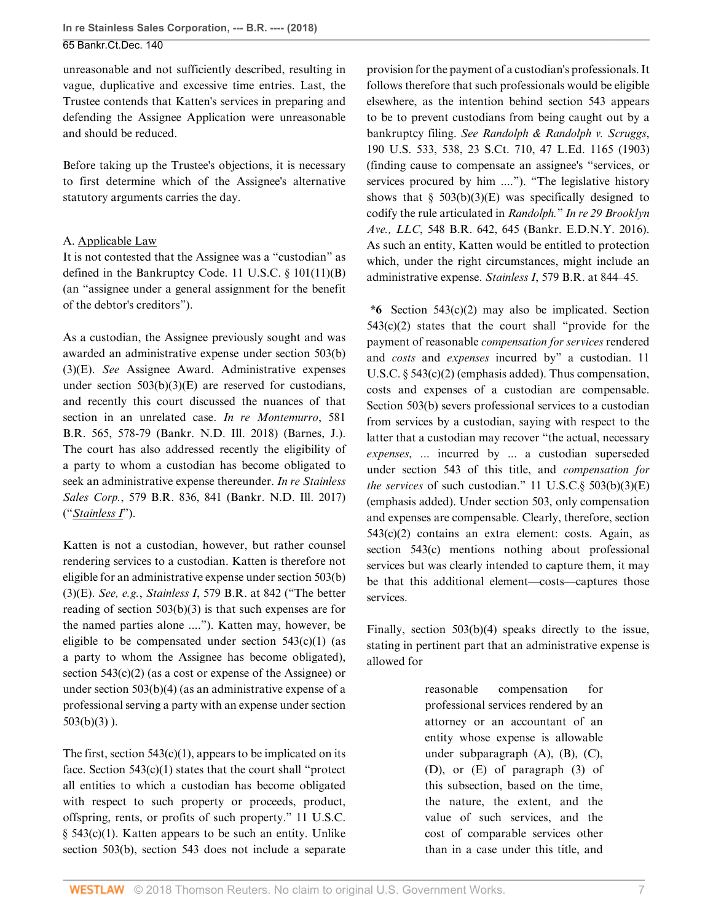unreasonable and not sufficiently described, resulting in vague, duplicative and excessive time entries. Last, the Trustee contends that Katten's services in preparing and defending the Assignee Application were unreasonable and should be reduced.

Before taking up the Trustee's objections, it is necessary to first determine which of the Assignee's alternative statutory arguments carries the day.

### A. Applicable Law

It is not contested that the Assignee was a "custodian" as defined in the Bankruptcy Code. [11 U.S.C. § 101\(11\)\(B\)](http://www.westlaw.com/Link/Document/FullText?findType=L&pubNum=1000546&cite=11USCAS101&originatingDoc=I146039b037bc11e888d5f23feb60b681&refType=SP&originationContext=document&vr=3.0&rs=cblt1.0&transitionType=DocumentItem&contextData=(sc.History*oc.AlertsClip)#co_pp_e434000084f17) (an "assignee under a general assignment for the benefit of the debtor's creditors").

As a custodian, the Assignee previously sought and was awarded an administrative expense under [section 503\(b\)](http://www.westlaw.com/Link/Document/FullText?findType=L&pubNum=1000611&cite=11USCAS503&originatingDoc=I146039b037bc11e888d5f23feb60b681&refType=LQ&originationContext=document&vr=3.0&rs=cblt1.0&transitionType=DocumentItem&contextData=(sc.History*oc.AlertsClip)) [\(3\)\(E\).](http://www.westlaw.com/Link/Document/FullText?findType=L&pubNum=1000611&cite=11USCAS503&originatingDoc=I146039b037bc11e888d5f23feb60b681&refType=LQ&originationContext=document&vr=3.0&rs=cblt1.0&transitionType=DocumentItem&contextData=(sc.History*oc.AlertsClip)) *See* Assignee Award. Administrative expenses under section  $503(b)(3)(E)$  are reserved for custodians, and recently this court discussed the nuances of that section in an unrelated case. *[In re Montemurro](http://www.westlaw.com/Link/Document/FullText?findType=Y&serNum=2043806720&pubNum=0000164&originatingDoc=I146039b037bc11e888d5f23feb60b681&refType=RP&fi=co_pp_sp_164_578&originationContext=document&vr=3.0&rs=cblt1.0&transitionType=DocumentItem&contextData=(sc.History*oc.AlertsClip)#co_pp_sp_164_578)*, 581 [B.R. 565, 578-79 \(Bankr. N.D. Ill. 2018\)](http://www.westlaw.com/Link/Document/FullText?findType=Y&serNum=2043806720&pubNum=0000164&originatingDoc=I146039b037bc11e888d5f23feb60b681&refType=RP&fi=co_pp_sp_164_578&originationContext=document&vr=3.0&rs=cblt1.0&transitionType=DocumentItem&contextData=(sc.History*oc.AlertsClip)#co_pp_sp_164_578) (Barnes, J.). The court has also addressed recently the eligibility of a party to whom a custodian has become obligated to seek an administrative expense thereunder. *[In re Stainless](http://www.westlaw.com/Link/Document/FullText?findType=Y&serNum=2043458349&pubNum=0000164&originatingDoc=I146039b037bc11e888d5f23feb60b681&refType=RP&fi=co_pp_sp_164_841&originationContext=document&vr=3.0&rs=cblt1.0&transitionType=DocumentItem&contextData=(sc.History*oc.AlertsClip)#co_pp_sp_164_841) Sales Corp.*[, 579 B.R. 836, 841 \(Bankr. N.D. Ill. 2017\)](http://www.westlaw.com/Link/Document/FullText?findType=Y&serNum=2043458349&pubNum=0000164&originatingDoc=I146039b037bc11e888d5f23feb60b681&refType=RP&fi=co_pp_sp_164_841&originationContext=document&vr=3.0&rs=cblt1.0&transitionType=DocumentItem&contextData=(sc.History*oc.AlertsClip)#co_pp_sp_164_841) ("*[Stainless I](http://www.westlaw.com/Link/Document/FullText?findType=Y&serNum=2043458349&originatingDoc=I146039b037bc11e888d5f23feb60b681&refType=RP&originationContext=document&vr=3.0&rs=cblt1.0&transitionType=DocumentItem&contextData=(sc.History*oc.AlertsClip))*").

Katten is not a custodian, however, but rather counsel rendering services to a custodian. Katten is therefore not eligible for an administrative expense under [section 503\(b\)](http://www.westlaw.com/Link/Document/FullText?findType=L&pubNum=1000611&cite=11USCAS503&originatingDoc=I146039b037bc11e888d5f23feb60b681&refType=LQ&originationContext=document&vr=3.0&rs=cblt1.0&transitionType=DocumentItem&contextData=(sc.History*oc.AlertsClip)) [\(3\)\(E\).](http://www.westlaw.com/Link/Document/FullText?findType=L&pubNum=1000611&cite=11USCAS503&originatingDoc=I146039b037bc11e888d5f23feb60b681&refType=LQ&originationContext=document&vr=3.0&rs=cblt1.0&transitionType=DocumentItem&contextData=(sc.History*oc.AlertsClip)) *See, e.g.*, *Stainless I*[, 579 B.R. at 842](http://www.westlaw.com/Link/Document/FullText?findType=Y&serNum=2043458349&pubNum=0000164&originatingDoc=I146039b037bc11e888d5f23feb60b681&refType=RP&fi=co_pp_sp_164_842&originationContext=document&vr=3.0&rs=cblt1.0&transitionType=DocumentItem&contextData=(sc.History*oc.AlertsClip)#co_pp_sp_164_842) ("The better reading of [section 503\(b\)\(3\)](http://www.westlaw.com/Link/Document/FullText?findType=L&pubNum=1000611&cite=11USCAS503&originatingDoc=I146039b037bc11e888d5f23feb60b681&refType=LQ&originationContext=document&vr=3.0&rs=cblt1.0&transitionType=DocumentItem&contextData=(sc.History*oc.AlertsClip)) is that such expenses are for the named parties alone ...."). Katten may, however, be eligible to be compensated under section  $543(c)(1)$  (as a party to whom the Assignee has become obligated), [section 543\(c\)\(2\)](http://www.westlaw.com/Link/Document/FullText?findType=L&pubNum=1000611&cite=11USCAS543&originatingDoc=I146039b037bc11e888d5f23feb60b681&refType=LQ&originationContext=document&vr=3.0&rs=cblt1.0&transitionType=DocumentItem&contextData=(sc.History*oc.AlertsClip)) (as a cost or expense of the Assignee) or under [section 503\(b\)\(4\)](http://www.westlaw.com/Link/Document/FullText?findType=L&pubNum=1000611&cite=11USCAS503&originatingDoc=I146039b037bc11e888d5f23feb60b681&refType=LQ&originationContext=document&vr=3.0&rs=cblt1.0&transitionType=DocumentItem&contextData=(sc.History*oc.AlertsClip)) (as an administrative expense of a professional serving a party with an expense under [section](http://www.westlaw.com/Link/Document/FullText?findType=L&pubNum=1000611&cite=11USCAS503&originatingDoc=I146039b037bc11e888d5f23feb60b681&refType=LQ&originationContext=document&vr=3.0&rs=cblt1.0&transitionType=DocumentItem&contextData=(sc.History*oc.AlertsClip))  $503(b)(3)$ ).

The first, section  $543(c)(1)$ , appears to be implicated on its face. [Section 543\(c\)\(1\)](http://www.westlaw.com/Link/Document/FullText?findType=L&pubNum=1000611&cite=11USCAS543&originatingDoc=I146039b037bc11e888d5f23feb60b681&refType=LQ&originationContext=document&vr=3.0&rs=cblt1.0&transitionType=DocumentItem&contextData=(sc.History*oc.AlertsClip)) states that the court shall "protect all entities to which a custodian has become obligated with respect to such property or proceeds, product, offspring, rents, or profits of such property." [11 U.S.C.](http://www.westlaw.com/Link/Document/FullText?findType=L&pubNum=1000546&cite=11USCAS543&originatingDoc=I146039b037bc11e888d5f23feb60b681&refType=SP&originationContext=document&vr=3.0&rs=cblt1.0&transitionType=DocumentItem&contextData=(sc.History*oc.AlertsClip)#co_pp_10c0000001331) [§ 543\(c\)\(1\)](http://www.westlaw.com/Link/Document/FullText?findType=L&pubNum=1000546&cite=11USCAS543&originatingDoc=I146039b037bc11e888d5f23feb60b681&refType=SP&originationContext=document&vr=3.0&rs=cblt1.0&transitionType=DocumentItem&contextData=(sc.History*oc.AlertsClip)#co_pp_10c0000001331). Katten appears to be such an entity. Unlike [section 503\(b\)](http://www.westlaw.com/Link/Document/FullText?findType=L&pubNum=1000611&cite=11USCAS503&originatingDoc=I146039b037bc11e888d5f23feb60b681&refType=LQ&originationContext=document&vr=3.0&rs=cblt1.0&transitionType=DocumentItem&contextData=(sc.History*oc.AlertsClip)), [section 543](http://www.westlaw.com/Link/Document/FullText?findType=L&pubNum=1000611&cite=11USCAS543&originatingDoc=I146039b037bc11e888d5f23feb60b681&refType=LQ&originationContext=document&vr=3.0&rs=cblt1.0&transitionType=DocumentItem&contextData=(sc.History*oc.AlertsClip)) does not include a separate provision for the payment of a custodian's professionals. It follows therefore that such professionals would be eligible elsewhere, as the intention behind [section 543](http://www.westlaw.com/Link/Document/FullText?findType=L&pubNum=1000546&cite=11USCAS543&originatingDoc=I146039b037bc11e888d5f23feb60b681&refType=LQ&originationContext=document&vr=3.0&rs=cblt1.0&transitionType=DocumentItem&contextData=(sc.History*oc.AlertsClip)) appears to be to prevent custodians from being caught out by a bankruptcy filing. *See [Randolph & Randolph v. Scruggs](http://www.westlaw.com/Link/Document/FullText?findType=Y&serNum=1903100317&pubNum=0000708&originatingDoc=I146039b037bc11e888d5f23feb60b681&refType=RP&originationContext=document&vr=3.0&rs=cblt1.0&transitionType=DocumentItem&contextData=(sc.History*oc.AlertsClip))*, [190 U.S. 533, 538, 23 S.Ct. 710, 47 L.Ed. 1165 \(1903\)](http://www.westlaw.com/Link/Document/FullText?findType=Y&serNum=1903100317&pubNum=0000708&originatingDoc=I146039b037bc11e888d5f23feb60b681&refType=RP&originationContext=document&vr=3.0&rs=cblt1.0&transitionType=DocumentItem&contextData=(sc.History*oc.AlertsClip)) (finding cause to compensate an assignee's "services, or services procured by him ...."). "The legislative history shows that  $\S$  503(b)(3)(E) was specifically designed to codify the rule articulated in *[Randolph.](http://www.westlaw.com/Link/Document/FullText?findType=Y&serNum=1903100317&pubNum=0000780&originatingDoc=I146039b037bc11e888d5f23feb60b681&refType=RP&originationContext=document&vr=3.0&rs=cblt1.0&transitionType=DocumentItem&contextData=(sc.History*oc.AlertsClip))*" *[In re 29 Brooklyn](http://www.westlaw.com/Link/Document/FullText?findType=Y&serNum=2038756398&pubNum=0000164&originatingDoc=I146039b037bc11e888d5f23feb60b681&refType=RP&fi=co_pp_sp_164_645&originationContext=document&vr=3.0&rs=cblt1.0&transitionType=DocumentItem&contextData=(sc.History*oc.AlertsClip)#co_pp_sp_164_645) Ave., LLC*[, 548 B.R. 642, 645 \(Bankr. E.D.N.Y. 2016\)](http://www.westlaw.com/Link/Document/FullText?findType=Y&serNum=2038756398&pubNum=0000164&originatingDoc=I146039b037bc11e888d5f23feb60b681&refType=RP&fi=co_pp_sp_164_645&originationContext=document&vr=3.0&rs=cblt1.0&transitionType=DocumentItem&contextData=(sc.History*oc.AlertsClip)#co_pp_sp_164_645). As such an entity, Katten would be entitled to protection which, under the right circumstances, might include an administrative expense. *Stainless I*[, 579 B.R. at 844–45.](http://www.westlaw.com/Link/Document/FullText?findType=Y&serNum=2043458349&pubNum=0000164&originatingDoc=I146039b037bc11e888d5f23feb60b681&refType=RP&fi=co_pp_sp_164_844&originationContext=document&vr=3.0&rs=cblt1.0&transitionType=DocumentItem&contextData=(sc.History*oc.AlertsClip)#co_pp_sp_164_844)

**\*6** [Section 543\(c\)\(2\)](http://www.westlaw.com/Link/Document/FullText?findType=L&pubNum=1000546&cite=11USCAS543&originatingDoc=I146039b037bc11e888d5f23feb60b681&refType=SP&originationContext=document&vr=3.0&rs=cblt1.0&transitionType=DocumentItem&contextData=(sc.History*oc.AlertsClip)#co_pp_fcf30000ea9c4) may also be implicated. [Section](http://www.westlaw.com/Link/Document/FullText?findType=L&pubNum=1000546&cite=11USCAS543&originatingDoc=I146039b037bc11e888d5f23feb60b681&refType=SP&originationContext=document&vr=3.0&rs=cblt1.0&transitionType=DocumentItem&contextData=(sc.History*oc.AlertsClip)#co_pp_fcf30000ea9c4)  $543(c)(2)$  states that the court shall "provide for the payment of reasonable *compensation for services* rendered and *costs* and *expenses* incurred by" a custodian. [11](http://www.westlaw.com/Link/Document/FullText?findType=L&pubNum=1000546&cite=11USCAS543&originatingDoc=I146039b037bc11e888d5f23feb60b681&refType=SP&originationContext=document&vr=3.0&rs=cblt1.0&transitionType=DocumentItem&contextData=(sc.History*oc.AlertsClip)#co_pp_fcf30000ea9c4) [U.S.C. § 543\(c\)\(2\)](http://www.westlaw.com/Link/Document/FullText?findType=L&pubNum=1000546&cite=11USCAS543&originatingDoc=I146039b037bc11e888d5f23feb60b681&refType=SP&originationContext=document&vr=3.0&rs=cblt1.0&transitionType=DocumentItem&contextData=(sc.History*oc.AlertsClip)#co_pp_fcf30000ea9c4) (emphasis added). Thus compensation, costs and expenses of a custodian are compensable. [Section 503\(b\)](http://www.westlaw.com/Link/Document/FullText?findType=L&pubNum=1000611&cite=11USCAS503&originatingDoc=I146039b037bc11e888d5f23feb60b681&refType=LQ&originationContext=document&vr=3.0&rs=cblt1.0&transitionType=DocumentItem&contextData=(sc.History*oc.AlertsClip)) severs professional services to a custodian from services by a custodian, saying with respect to the latter that a custodian may recover "the actual, necessary *expenses*, ... incurred by ... a custodian superseded under [section 543](http://www.westlaw.com/Link/Document/FullText?findType=L&pubNum=1000546&cite=11USCAS543&originatingDoc=I146039b037bc11e888d5f23feb60b681&refType=LQ&originationContext=document&vr=3.0&rs=cblt1.0&transitionType=DocumentItem&contextData=(sc.History*oc.AlertsClip)) of this title, and *compensation for the services* of such custodian." [11 U.S.C.§ 503\(b\)\(3\)\(E\)](http://www.westlaw.com/Link/Document/FullText?findType=L&pubNum=1000546&cite=11USCAS503&originatingDoc=I146039b037bc11e888d5f23feb60b681&refType=SP&originationContext=document&vr=3.0&rs=cblt1.0&transitionType=DocumentItem&contextData=(sc.History*oc.AlertsClip)#co_pp_fa7f000079482) (emphasis added). Under [section 503,](http://www.westlaw.com/Link/Document/FullText?findType=L&pubNum=1000546&cite=11USCAS503&originatingDoc=I146039b037bc11e888d5f23feb60b681&refType=LQ&originationContext=document&vr=3.0&rs=cblt1.0&transitionType=DocumentItem&contextData=(sc.History*oc.AlertsClip)) only compensation and expenses are compensable. Clearly, therefore, [section](http://www.westlaw.com/Link/Document/FullText?findType=L&pubNum=1000546&cite=11USCAS543&originatingDoc=I146039b037bc11e888d5f23feb60b681&refType=SP&originationContext=document&vr=3.0&rs=cblt1.0&transitionType=DocumentItem&contextData=(sc.History*oc.AlertsClip)#co_pp_fcf30000ea9c4) [543\(c\)\(2\)](http://www.westlaw.com/Link/Document/FullText?findType=L&pubNum=1000546&cite=11USCAS543&originatingDoc=I146039b037bc11e888d5f23feb60b681&refType=SP&originationContext=document&vr=3.0&rs=cblt1.0&transitionType=DocumentItem&contextData=(sc.History*oc.AlertsClip)#co_pp_fcf30000ea9c4) contains an extra element: costs. Again, as [section 543\(c\)](http://www.westlaw.com/Link/Document/FullText?findType=L&pubNum=1000546&cite=11USCAS543&originatingDoc=I146039b037bc11e888d5f23feb60b681&refType=SP&originationContext=document&vr=3.0&rs=cblt1.0&transitionType=DocumentItem&contextData=(sc.History*oc.AlertsClip)#co_pp_4b24000003ba5) mentions nothing about professional services but was clearly intended to capture them, it may be that this additional element—costs—captures those services.

Finally, [section 503\(b\)\(4\)](http://www.westlaw.com/Link/Document/FullText?findType=L&pubNum=1000546&cite=11USCAS503&originatingDoc=I146039b037bc11e888d5f23feb60b681&refType=SP&originationContext=document&vr=3.0&rs=cblt1.0&transitionType=DocumentItem&contextData=(sc.History*oc.AlertsClip)#co_pp_6ad60000aeea7) speaks directly to the issue, stating in pertinent part that an administrative expense is allowed for

> reasonable compensation for professional services rendered by an attorney or an accountant of an entity whose expense is allowable under subparagraph (A), (B), (C), (D), or (E) of paragraph (3) of this subsection, based on the time, the nature, the extent, and the value of such services, and the cost of comparable services other than in a case under this title, and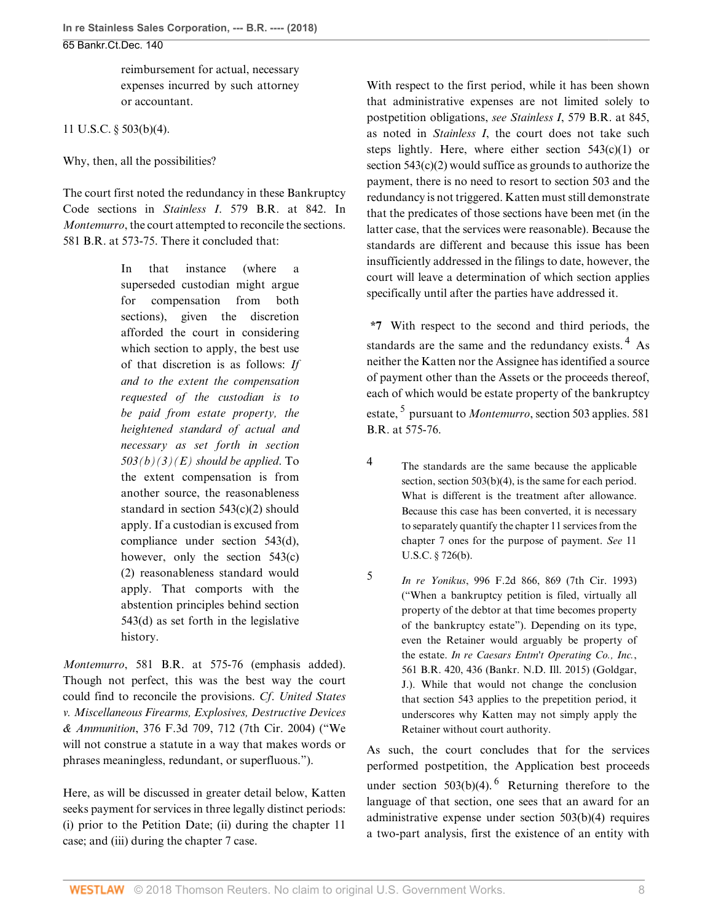reimbursement for actual, necessary expenses incurred by such attorney or accountant.

[11 U.S.C. § 503\(b\)\(4\)](http://www.westlaw.com/Link/Document/FullText?findType=L&pubNum=1000546&cite=11USCAS503&originatingDoc=I146039b037bc11e888d5f23feb60b681&refType=SP&originationContext=document&vr=3.0&rs=cblt1.0&transitionType=DocumentItem&contextData=(sc.History*oc.AlertsClip)#co_pp_6ad60000aeea7).

Why, then, all the possibilities?

The court first noted the redundancy in these Bankruptcy Code sections in *Stainless I*[. 579 B.R. at 842.](http://www.westlaw.com/Link/Document/FullText?findType=Y&serNum=2043458349&pubNum=0000164&originatingDoc=I146039b037bc11e888d5f23feb60b681&refType=RP&fi=co_pp_sp_164_842&originationContext=document&vr=3.0&rs=cblt1.0&transitionType=DocumentItem&contextData=(sc.History*oc.AlertsClip)#co_pp_sp_164_842) In *[Montemurro](http://www.westlaw.com/Link/Document/FullText?findType=Y&serNum=2043806720&pubNum=0000999&originatingDoc=I146039b037bc11e888d5f23feb60b681&refType=RP&originationContext=document&vr=3.0&rs=cblt1.0&transitionType=DocumentItem&contextData=(sc.History*oc.AlertsClip))*, the court attempted to reconcile the sections. [581 B.R. at 573-75.](http://www.westlaw.com/Link/Document/FullText?findType=Y&serNum=2043806720&pubNum=0000164&originatingDoc=I146039b037bc11e888d5f23feb60b681&refType=RP&fi=co_pp_sp_164_573&originationContext=document&vr=3.0&rs=cblt1.0&transitionType=DocumentItem&contextData=(sc.History*oc.AlertsClip)#co_pp_sp_164_573) There it concluded that:

> In that instance (where a superseded custodian might argue for compensation from both sections), given the discretion afforded the court in considering which section to apply, the best use of that discretion is as follows: *If and to the extent the compensation requested of the custodian is to be paid from estate property, the heightened standard of actual and necessary as set forth in [section](http://www.westlaw.com/Link/Document/FullText?findType=L&pubNum=1000546&cite=11USCAS503&originatingDoc=I146039b037bc11e888d5f23feb60b681&refType=SP&originationContext=document&vr=3.0&rs=cblt1.0&transitionType=DocumentItem&contextData=(sc.History*oc.AlertsClip)#co_pp_fa7f000079482) [503\(b\)\(3\)\(E\)](http://www.westlaw.com/Link/Document/FullText?findType=L&pubNum=1000546&cite=11USCAS503&originatingDoc=I146039b037bc11e888d5f23feb60b681&refType=SP&originationContext=document&vr=3.0&rs=cblt1.0&transitionType=DocumentItem&contextData=(sc.History*oc.AlertsClip)#co_pp_fa7f000079482) should be applied*. To the extent compensation is from another source, the reasonableness standard in [section 543\(c\)\(2\)](http://www.westlaw.com/Link/Document/FullText?findType=L&pubNum=1000546&cite=11USCAS543&originatingDoc=I146039b037bc11e888d5f23feb60b681&refType=SP&originationContext=document&vr=3.0&rs=cblt1.0&transitionType=DocumentItem&contextData=(sc.History*oc.AlertsClip)#co_pp_fcf30000ea9c4) should apply. If a custodian is excused from compliance under [section 543\(d\)](http://www.westlaw.com/Link/Document/FullText?findType=L&pubNum=1000546&cite=11USCAS543&originatingDoc=I146039b037bc11e888d5f23feb60b681&refType=SP&originationContext=document&vr=3.0&rs=cblt1.0&transitionType=DocumentItem&contextData=(sc.History*oc.AlertsClip)#co_pp_5ba1000067d06), however, only the [section 543\(c\)](http://www.westlaw.com/Link/Document/FullText?findType=L&pubNum=1000546&cite=11USCAS543&originatingDoc=I146039b037bc11e888d5f23feb60b681&refType=SP&originationContext=document&vr=3.0&rs=cblt1.0&transitionType=DocumentItem&contextData=(sc.History*oc.AlertsClip)#co_pp_fcf30000ea9c4) [\(2\)](http://www.westlaw.com/Link/Document/FullText?findType=L&pubNum=1000546&cite=11USCAS543&originatingDoc=I146039b037bc11e888d5f23feb60b681&refType=SP&originationContext=document&vr=3.0&rs=cblt1.0&transitionType=DocumentItem&contextData=(sc.History*oc.AlertsClip)#co_pp_fcf30000ea9c4) reasonableness standard would apply. That comports with the abstention principles behind [section](http://www.westlaw.com/Link/Document/FullText?findType=L&pubNum=1000546&cite=11USCAS543&originatingDoc=I146039b037bc11e888d5f23feb60b681&refType=SP&originationContext=document&vr=3.0&rs=cblt1.0&transitionType=DocumentItem&contextData=(sc.History*oc.AlertsClip)#co_pp_5ba1000067d06) [543\(d\)](http://www.westlaw.com/Link/Document/FullText?findType=L&pubNum=1000546&cite=11USCAS543&originatingDoc=I146039b037bc11e888d5f23feb60b681&refType=SP&originationContext=document&vr=3.0&rs=cblt1.0&transitionType=DocumentItem&contextData=(sc.History*oc.AlertsClip)#co_pp_5ba1000067d06) as set forth in the legislative history.

*Montemurro*[, 581 B.R. at 575-76](http://www.westlaw.com/Link/Document/FullText?findType=Y&serNum=2043806720&pubNum=0000164&originatingDoc=I146039b037bc11e888d5f23feb60b681&refType=RP&fi=co_pp_sp_164_575&originationContext=document&vr=3.0&rs=cblt1.0&transitionType=DocumentItem&contextData=(sc.History*oc.AlertsClip)#co_pp_sp_164_575) (emphasis added). Though not perfect, this was the best way the court could find to reconcile the provisions. *Cf*. *[United States](http://www.westlaw.com/Link/Document/FullText?findType=Y&serNum=2004736384&pubNum=0000506&originatingDoc=I146039b037bc11e888d5f23feb60b681&refType=RP&fi=co_pp_sp_506_712&originationContext=document&vr=3.0&rs=cblt1.0&transitionType=DocumentItem&contextData=(sc.History*oc.AlertsClip)#co_pp_sp_506_712) [v. Miscellaneous Firearms, Explosives, Destructive Devices](http://www.westlaw.com/Link/Document/FullText?findType=Y&serNum=2004736384&pubNum=0000506&originatingDoc=I146039b037bc11e888d5f23feb60b681&refType=RP&fi=co_pp_sp_506_712&originationContext=document&vr=3.0&rs=cblt1.0&transitionType=DocumentItem&contextData=(sc.History*oc.AlertsClip)#co_pp_sp_506_712) & Ammunition*[, 376 F.3d 709, 712 \(7th Cir. 2004\)](http://www.westlaw.com/Link/Document/FullText?findType=Y&serNum=2004736384&pubNum=0000506&originatingDoc=I146039b037bc11e888d5f23feb60b681&refType=RP&fi=co_pp_sp_506_712&originationContext=document&vr=3.0&rs=cblt1.0&transitionType=DocumentItem&contextData=(sc.History*oc.AlertsClip)#co_pp_sp_506_712) ("We will not construe a statute in a way that makes words or phrases meaningless, redundant, or superfluous.").

Here, as will be discussed in greater detail below, Katten seeks payment for services in three legally distinct periods: (i) prior to the Petition Date; (ii) during the chapter 11 case; and (iii) during the chapter 7 case.

With respect to the first period, while it has been shown that administrative expenses are not limited solely to postpetition obligations, *see Stainless I*[, 579 B.R. at 845](http://www.westlaw.com/Link/Document/FullText?findType=Y&serNum=2043458349&pubNum=0000164&originatingDoc=I146039b037bc11e888d5f23feb60b681&refType=RP&fi=co_pp_sp_164_845&originationContext=document&vr=3.0&rs=cblt1.0&transitionType=DocumentItem&contextData=(sc.History*oc.AlertsClip)#co_pp_sp_164_845), as noted in *[Stainless I](http://www.westlaw.com/Link/Document/FullText?findType=Y&serNum=2043458349&pubNum=0000164&originatingDoc=I146039b037bc11e888d5f23feb60b681&refType=RP&originationContext=document&vr=3.0&rs=cblt1.0&transitionType=DocumentItem&contextData=(sc.History*oc.AlertsClip))*, the court does not take such steps lightly. Here, where either section  $543(c)(1)$  or [section 543\(c\)\(2\)](http://www.westlaw.com/Link/Document/FullText?findType=L&pubNum=1000546&cite=11USCAS543&originatingDoc=I146039b037bc11e888d5f23feb60b681&refType=SP&originationContext=document&vr=3.0&rs=cblt1.0&transitionType=DocumentItem&contextData=(sc.History*oc.AlertsClip)#co_pp_fcf30000ea9c4) would suffice as grounds to authorize the payment, there is no need to resort to [section 503](http://www.westlaw.com/Link/Document/FullText?findType=L&pubNum=1000546&cite=11USCAS503&originatingDoc=I146039b037bc11e888d5f23feb60b681&refType=LQ&originationContext=document&vr=3.0&rs=cblt1.0&transitionType=DocumentItem&contextData=(sc.History*oc.AlertsClip)) and the redundancy is not triggered. Katten must still demonstrate that the predicates of those sections have been met (in the latter case, that the services were reasonable). Because the standards are different and because this issue has been insufficiently addressed in the filings to date, however, the court will leave a determination of which section applies specifically until after the parties have addressed it.

<span id="page-7-2"></span>**\*7** With respect to the second and third periods, the standards are the same and the redundancy exists.  $4$  As neither the Katten nor the Assignee has identified a source of payment other than the Assets or the proceeds thereof, each of which would be estate property of the bankruptcy estate, <sup>[5](#page-7-1)</sup> pursuant to *[Montemurro](http://www.westlaw.com/Link/Document/FullText?findType=Y&serNum=2043806720&pubNum=0000999&originatingDoc=I146039b037bc11e888d5f23feb60b681&refType=RP&originationContext=document&vr=3.0&rs=cblt1.0&transitionType=DocumentItem&contextData=(sc.History*oc.AlertsClip))*, [section 503](http://www.westlaw.com/Link/Document/FullText?findType=L&pubNum=1000546&cite=11USCAS503&originatingDoc=I146039b037bc11e888d5f23feb60b681&refType=LQ&originationContext=document&vr=3.0&rs=cblt1.0&transitionType=DocumentItem&contextData=(sc.History*oc.AlertsClip)) applies. [581](http://www.westlaw.com/Link/Document/FullText?findType=Y&serNum=2043806720&pubNum=0000164&originatingDoc=I146039b037bc11e888d5f23feb60b681&refType=RP&fi=co_pp_sp_164_575&originationContext=document&vr=3.0&rs=cblt1.0&transitionType=DocumentItem&contextData=(sc.History*oc.AlertsClip)#co_pp_sp_164_575) [B.R. at 575-76](http://www.westlaw.com/Link/Document/FullText?findType=Y&serNum=2043806720&pubNum=0000164&originatingDoc=I146039b037bc11e888d5f23feb60b681&refType=RP&fi=co_pp_sp_164_575&originationContext=document&vr=3.0&rs=cblt1.0&transitionType=DocumentItem&contextData=(sc.History*oc.AlertsClip)#co_pp_sp_164_575).

- <span id="page-7-3"></span><span id="page-7-0"></span>[4](#page-7-2) The standards are the same because the applicable section, [section 503\(b\)\(4\),](http://www.westlaw.com/Link/Document/FullText?findType=L&pubNum=1000546&cite=11USCAS503&originatingDoc=I146039b037bc11e888d5f23feb60b681&refType=SP&originationContext=document&vr=3.0&rs=cblt1.0&transitionType=DocumentItem&contextData=(sc.History*oc.AlertsClip)#co_pp_6ad60000aeea7) is the same for each period. What is different is the treatment after allowance. Because this case has been converted, it is necessary to separately quantify the chapter 11 services from the chapter 7 ones for the purpose of payment. *See* [11](http://www.westlaw.com/Link/Document/FullText?findType=L&pubNum=1000546&cite=11USCAS726&originatingDoc=I146039b037bc11e888d5f23feb60b681&refType=SP&originationContext=document&vr=3.0&rs=cblt1.0&transitionType=DocumentItem&contextData=(sc.History*oc.AlertsClip)#co_pp_a83b000018c76) [U.S.C. § 726\(b\).](http://www.westlaw.com/Link/Document/FullText?findType=L&pubNum=1000546&cite=11USCAS726&originatingDoc=I146039b037bc11e888d5f23feb60b681&refType=SP&originationContext=document&vr=3.0&rs=cblt1.0&transitionType=DocumentItem&contextData=(sc.History*oc.AlertsClip)#co_pp_a83b000018c76)
	- *In re Yonikus*[, 996 F.2d 866, 869 \(7th Cir. 1993\)](http://www.westlaw.com/Link/Document/FullText?findType=Y&serNum=1993119074&pubNum=0000350&originatingDoc=I146039b037bc11e888d5f23feb60b681&refType=RP&fi=co_pp_sp_350_869&originationContext=document&vr=3.0&rs=cblt1.0&transitionType=DocumentItem&contextData=(sc.History*oc.AlertsClip)#co_pp_sp_350_869) ("When a bankruptcy petition is filed, virtually all property of the debtor at that time becomes property of the bankruptcy estate"). Depending on its type, even the Retainer would arguably be property of the estate. *[In re Caesars Entm't Operating Co., Inc.](http://www.westlaw.com/Link/Document/FullText?findType=Y&serNum=2040630040&pubNum=0000164&originatingDoc=I146039b037bc11e888d5f23feb60b681&refType=RP&fi=co_pp_sp_164_436&originationContext=document&vr=3.0&rs=cblt1.0&transitionType=DocumentItem&contextData=(sc.History*oc.AlertsClip)#co_pp_sp_164_436)*, [561 B.R. 420, 436 \(Bankr. N.D. Ill. 2015\)](http://www.westlaw.com/Link/Document/FullText?findType=Y&serNum=2040630040&pubNum=0000164&originatingDoc=I146039b037bc11e888d5f23feb60b681&refType=RP&fi=co_pp_sp_164_436&originationContext=document&vr=3.0&rs=cblt1.0&transitionType=DocumentItem&contextData=(sc.History*oc.AlertsClip)#co_pp_sp_164_436) (Goldgar, J.). While that would not change the conclusion that [section 543](http://www.westlaw.com/Link/Document/FullText?findType=L&pubNum=1000546&cite=11USCAS543&originatingDoc=I146039b037bc11e888d5f23feb60b681&refType=LQ&originationContext=document&vr=3.0&rs=cblt1.0&transitionType=DocumentItem&contextData=(sc.History*oc.AlertsClip)) applies to the prepetition period, it underscores why Katten may not simply apply the Retainer without court authority.

<span id="page-7-4"></span>As such, the court concludes that for the services performed postpetition, the Application best proceeds under section  $503(b)(4)$ . <sup>[6](#page-8-2)</sup> Returning therefore to the language of that section, one sees that an award for an administrative expense under [section 503\(b\)\(4\)](http://www.westlaw.com/Link/Document/FullText?findType=L&pubNum=1000546&cite=11USCAS503&originatingDoc=I146039b037bc11e888d5f23feb60b681&refType=SP&originationContext=document&vr=3.0&rs=cblt1.0&transitionType=DocumentItem&contextData=(sc.History*oc.AlertsClip)#co_pp_6ad60000aeea7) requires a two-part analysis, first the existence of an entity with

<span id="page-7-1"></span>[5](#page-7-3)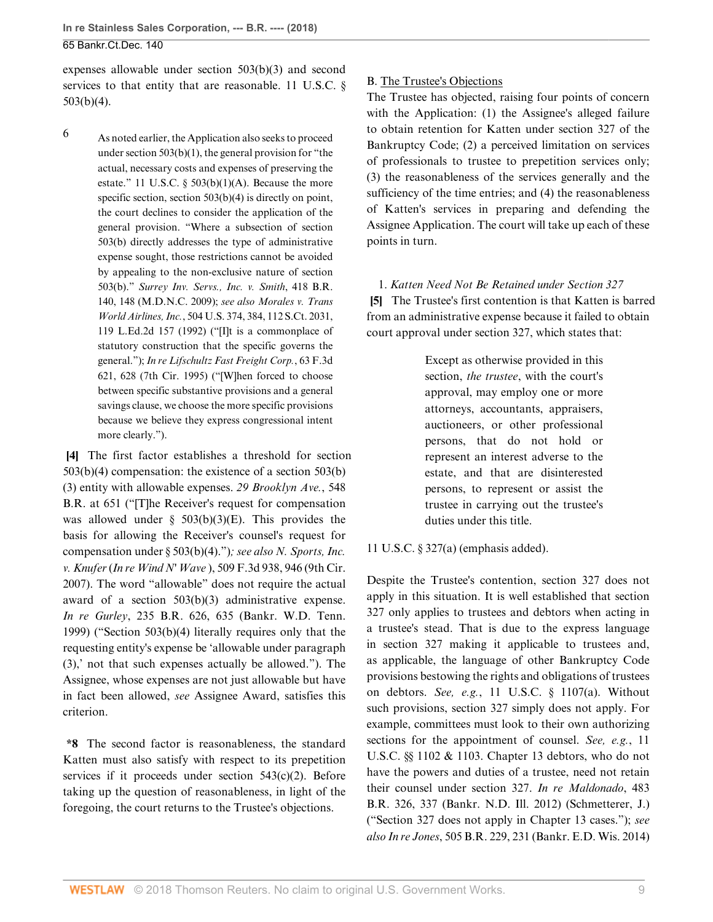expenses allowable under [section 503\(b\)\(3\)](http://www.westlaw.com/Link/Document/FullText?findType=L&pubNum=1000546&cite=11USCAS503&originatingDoc=I146039b037bc11e888d5f23feb60b681&refType=SP&originationContext=document&vr=3.0&rs=cblt1.0&transitionType=DocumentItem&contextData=(sc.History*oc.AlertsClip)#co_pp_d801000002763) and second services to that entity that are reasonable. 11 U.S.C.  $\delta$ [503\(b\)\(4\).](http://www.westlaw.com/Link/Document/FullText?findType=L&pubNum=1000546&cite=11USCAS503&originatingDoc=I146039b037bc11e888d5f23feb60b681&refType=SP&originationContext=document&vr=3.0&rs=cblt1.0&transitionType=DocumentItem&contextData=(sc.History*oc.AlertsClip)#co_pp_6ad60000aeea7)

<span id="page-8-2"></span>[6](#page-7-4) As noted earlier, the Application also seeks to proceed under section  $503(b)(1)$ , the general provision for "the actual, necessary costs and expenses of preserving the estate." 11 U.S.C.  $\S$  503(b)(1)(A). Because the more specific section, [section 503\(b\)\(4\)](http://www.westlaw.com/Link/Document/FullText?findType=L&pubNum=1000546&cite=11USCAS503&originatingDoc=I146039b037bc11e888d5f23feb60b681&refType=SP&originationContext=document&vr=3.0&rs=cblt1.0&transitionType=DocumentItem&contextData=(sc.History*oc.AlertsClip)#co_pp_6ad60000aeea7) is directly on point, the court declines to consider the application of the general provision. "Where a subsection of [section](http://www.westlaw.com/Link/Document/FullText?findType=L&pubNum=1000546&cite=11USCAS503&originatingDoc=I146039b037bc11e888d5f23feb60b681&refType=SP&originationContext=document&vr=3.0&rs=cblt1.0&transitionType=DocumentItem&contextData=(sc.History*oc.AlertsClip)#co_pp_a83b000018c76) [503\(b\)](http://www.westlaw.com/Link/Document/FullText?findType=L&pubNum=1000546&cite=11USCAS503&originatingDoc=I146039b037bc11e888d5f23feb60b681&refType=SP&originationContext=document&vr=3.0&rs=cblt1.0&transitionType=DocumentItem&contextData=(sc.History*oc.AlertsClip)#co_pp_a83b000018c76) directly addresses the type of administrative expense sought, those restrictions cannot be avoided by appealing to the non-exclusive nature of [section](http://www.westlaw.com/Link/Document/FullText?findType=L&pubNum=1000546&cite=11USCAS503&originatingDoc=I146039b037bc11e888d5f23feb60b681&refType=SP&originationContext=document&vr=3.0&rs=cblt1.0&transitionType=DocumentItem&contextData=(sc.History*oc.AlertsClip)#co_pp_a83b000018c76) [503\(b\)](http://www.westlaw.com/Link/Document/FullText?findType=L&pubNum=1000546&cite=11USCAS503&originatingDoc=I146039b037bc11e888d5f23feb60b681&refType=SP&originationContext=document&vr=3.0&rs=cblt1.0&transitionType=DocumentItem&contextData=(sc.History*oc.AlertsClip)#co_pp_a83b000018c76)." *[Surrey Inv. Servs., Inc. v. Smith](http://www.westlaw.com/Link/Document/FullText?findType=Y&serNum=2020161898&pubNum=0000164&originatingDoc=I146039b037bc11e888d5f23feb60b681&refType=RP&fi=co_pp_sp_164_148&originationContext=document&vr=3.0&rs=cblt1.0&transitionType=DocumentItem&contextData=(sc.History*oc.AlertsClip)#co_pp_sp_164_148)*, 418 B.R. [140, 148 \(M.D.N.C. 2009\)](http://www.westlaw.com/Link/Document/FullText?findType=Y&serNum=2020161898&pubNum=0000164&originatingDoc=I146039b037bc11e888d5f23feb60b681&refType=RP&fi=co_pp_sp_164_148&originationContext=document&vr=3.0&rs=cblt1.0&transitionType=DocumentItem&contextData=(sc.History*oc.AlertsClip)#co_pp_sp_164_148); *see also [Morales v. Trans](http://www.westlaw.com/Link/Document/FullText?findType=Y&serNum=1992098589&pubNum=0000708&originatingDoc=I146039b037bc11e888d5f23feb60b681&refType=RP&originationContext=document&vr=3.0&rs=cblt1.0&transitionType=DocumentItem&contextData=(sc.History*oc.AlertsClip)) World Airlines, Inc.*[, 504 U.S. 374, 384, 112 S.Ct. 2031,](http://www.westlaw.com/Link/Document/FullText?findType=Y&serNum=1992098589&pubNum=0000708&originatingDoc=I146039b037bc11e888d5f23feb60b681&refType=RP&originationContext=document&vr=3.0&rs=cblt1.0&transitionType=DocumentItem&contextData=(sc.History*oc.AlertsClip)) [119 L.Ed.2d 157 \(1992\)](http://www.westlaw.com/Link/Document/FullText?findType=Y&serNum=1992098589&pubNum=0000708&originatingDoc=I146039b037bc11e888d5f23feb60b681&refType=RP&originationContext=document&vr=3.0&rs=cblt1.0&transitionType=DocumentItem&contextData=(sc.History*oc.AlertsClip)) ("[I]t is a commonplace of statutory construction that the specific governs the general."); *[In re Lifschultz Fast Freight Corp.](http://www.westlaw.com/Link/Document/FullText?findType=Y&serNum=1995169854&pubNum=0000506&originatingDoc=I146039b037bc11e888d5f23feb60b681&refType=RP&fi=co_pp_sp_506_628&originationContext=document&vr=3.0&rs=cblt1.0&transitionType=DocumentItem&contextData=(sc.History*oc.AlertsClip)#co_pp_sp_506_628)*, 63 F.3d [621, 628 \(7th Cir. 1995\)](http://www.westlaw.com/Link/Document/FullText?findType=Y&serNum=1995169854&pubNum=0000506&originatingDoc=I146039b037bc11e888d5f23feb60b681&refType=RP&fi=co_pp_sp_506_628&originationContext=document&vr=3.0&rs=cblt1.0&transitionType=DocumentItem&contextData=(sc.History*oc.AlertsClip)#co_pp_sp_506_628) ("[W]hen forced to choose between specific substantive provisions and a general savings clause, we choose the more specific provisions because we believe they express congressional intent more clearly.").

<span id="page-8-0"></span>**[\[4](#page-0-3)]** The first factor establishes a threshold for [section](http://www.westlaw.com/Link/Document/FullText?findType=L&pubNum=1000546&cite=11USCAS503&originatingDoc=I146039b037bc11e888d5f23feb60b681&refType=SP&originationContext=document&vr=3.0&rs=cblt1.0&transitionType=DocumentItem&contextData=(sc.History*oc.AlertsClip)#co_pp_6ad60000aeea7) [503\(b\)\(4\)](http://www.westlaw.com/Link/Document/FullText?findType=L&pubNum=1000546&cite=11USCAS503&originatingDoc=I146039b037bc11e888d5f23feb60b681&refType=SP&originationContext=document&vr=3.0&rs=cblt1.0&transitionType=DocumentItem&contextData=(sc.History*oc.AlertsClip)#co_pp_6ad60000aeea7) compensation: the existence of a [section 503\(b\)](http://www.westlaw.com/Link/Document/FullText?findType=L&pubNum=1000546&cite=11USCAS503&originatingDoc=I146039b037bc11e888d5f23feb60b681&refType=SP&originationContext=document&vr=3.0&rs=cblt1.0&transitionType=DocumentItem&contextData=(sc.History*oc.AlertsClip)#co_pp_d801000002763) [\(3\)](http://www.westlaw.com/Link/Document/FullText?findType=L&pubNum=1000546&cite=11USCAS503&originatingDoc=I146039b037bc11e888d5f23feb60b681&refType=SP&originationContext=document&vr=3.0&rs=cblt1.0&transitionType=DocumentItem&contextData=(sc.History*oc.AlertsClip)#co_pp_d801000002763) entity with allowable expenses. *[29 Brooklyn Ave.](http://www.westlaw.com/Link/Document/FullText?findType=Y&serNum=2038756398&pubNum=0000164&originatingDoc=I146039b037bc11e888d5f23feb60b681&refType=RP&fi=co_pp_sp_164_651&originationContext=document&vr=3.0&rs=cblt1.0&transitionType=DocumentItem&contextData=(sc.History*oc.AlertsClip)#co_pp_sp_164_651)*, 548 [B.R. at 651](http://www.westlaw.com/Link/Document/FullText?findType=Y&serNum=2038756398&pubNum=0000164&originatingDoc=I146039b037bc11e888d5f23feb60b681&refType=RP&fi=co_pp_sp_164_651&originationContext=document&vr=3.0&rs=cblt1.0&transitionType=DocumentItem&contextData=(sc.History*oc.AlertsClip)#co_pp_sp_164_651) ("[T]he Receiver's request for compensation was allowed under  $\S$  503(b)(3)(E). This provides the basis for allowing the Receiver's counsel's request for compensation under [§ 503\(b\)\(4\)](http://www.westlaw.com/Link/Document/FullText?findType=L&pubNum=1000546&cite=11USCAS503&originatingDoc=I146039b037bc11e888d5f23feb60b681&refType=SP&originationContext=document&vr=3.0&rs=cblt1.0&transitionType=DocumentItem&contextData=(sc.History*oc.AlertsClip)#co_pp_6ad60000aeea7).")*; see also [N. Sports, Inc.](http://www.westlaw.com/Link/Document/FullText?findType=Y&serNum=2014246136&pubNum=0000506&originatingDoc=I146039b037bc11e888d5f23feb60b681&refType=RP&fi=co_pp_sp_506_946&originationContext=document&vr=3.0&rs=cblt1.0&transitionType=DocumentItem&contextData=(sc.History*oc.AlertsClip)#co_pp_sp_506_946) v. Knufer* (*In re Wind N' Wave* [\), 509 F.3d 938, 946 \(9th Cir.](http://www.westlaw.com/Link/Document/FullText?findType=Y&serNum=2014246136&pubNum=0000506&originatingDoc=I146039b037bc11e888d5f23feb60b681&refType=RP&fi=co_pp_sp_506_946&originationContext=document&vr=3.0&rs=cblt1.0&transitionType=DocumentItem&contextData=(sc.History*oc.AlertsClip)#co_pp_sp_506_946) [2007\)](http://www.westlaw.com/Link/Document/FullText?findType=Y&serNum=2014246136&pubNum=0000506&originatingDoc=I146039b037bc11e888d5f23feb60b681&refType=RP&fi=co_pp_sp_506_946&originationContext=document&vr=3.0&rs=cblt1.0&transitionType=DocumentItem&contextData=(sc.History*oc.AlertsClip)#co_pp_sp_506_946). The word "allowable" does not require the actual award of a [section 503\(b\)\(3\)](http://www.westlaw.com/Link/Document/FullText?findType=L&pubNum=1000546&cite=11USCAS503&originatingDoc=I146039b037bc11e888d5f23feb60b681&refType=SP&originationContext=document&vr=3.0&rs=cblt1.0&transitionType=DocumentItem&contextData=(sc.History*oc.AlertsClip)#co_pp_d801000002763) administrative expense. *In re Gurley*[, 235 B.R. 626, 635 \(Bankr. W.D. Tenn.](http://www.westlaw.com/Link/Document/FullText?findType=Y&serNum=1999158090&pubNum=0000164&originatingDoc=I146039b037bc11e888d5f23feb60b681&refType=RP&fi=co_pp_sp_164_635&originationContext=document&vr=3.0&rs=cblt1.0&transitionType=DocumentItem&contextData=(sc.History*oc.AlertsClip)#co_pp_sp_164_635) [1999\)](http://www.westlaw.com/Link/Document/FullText?findType=Y&serNum=1999158090&pubNum=0000164&originatingDoc=I146039b037bc11e888d5f23feb60b681&refType=RP&fi=co_pp_sp_164_635&originationContext=document&vr=3.0&rs=cblt1.0&transitionType=DocumentItem&contextData=(sc.History*oc.AlertsClip)#co_pp_sp_164_635) (["Section 503\(b\)\(4\)](http://www.westlaw.com/Link/Document/FullText?findType=L&pubNum=1000546&cite=11USCAS503&originatingDoc=I146039b037bc11e888d5f23feb60b681&refType=SP&originationContext=document&vr=3.0&rs=cblt1.0&transitionType=DocumentItem&contextData=(sc.History*oc.AlertsClip)#co_pp_6ad60000aeea7) literally requires only that the requesting entity's expense be 'allowable under paragraph (3),' not that such expenses actually be allowed."). The Assignee, whose expenses are not just allowable but have in fact been allowed, *see* Assignee Award, satisfies this criterion.

**\*8** The second factor is reasonableness, the standard Katten must also satisfy with respect to its prepetition services if it proceeds under [section 543\(c\)\(2\).](http://www.westlaw.com/Link/Document/FullText?findType=L&pubNum=1000546&cite=11USCAS543&originatingDoc=I146039b037bc11e888d5f23feb60b681&refType=SP&originationContext=document&vr=3.0&rs=cblt1.0&transitionType=DocumentItem&contextData=(sc.History*oc.AlertsClip)#co_pp_fcf30000ea9c4) Before taking up the question of reasonableness, in light of the foregoing, the court returns to the Trustee's objections.

## B. The Trustee's Objections

The Trustee has objected, raising four points of concern with the Application: (1) the Assignee's alleged failure to obtain retention for Katten under [section 327 of the](http://www.westlaw.com/Link/Document/FullText?findType=L&pubNum=1000611&cite=11USCAS327&originatingDoc=I146039b037bc11e888d5f23feb60b681&refType=LQ&originationContext=document&vr=3.0&rs=cblt1.0&transitionType=DocumentItem&contextData=(sc.History*oc.AlertsClip)) [Bankruptcy Code;](http://www.westlaw.com/Link/Document/FullText?findType=L&pubNum=1000611&cite=11USCAS327&originatingDoc=I146039b037bc11e888d5f23feb60b681&refType=LQ&originationContext=document&vr=3.0&rs=cblt1.0&transitionType=DocumentItem&contextData=(sc.History*oc.AlertsClip)) (2) a perceived limitation on services of professionals to trustee to prepetition services only; (3) the reasonableness of the services generally and the sufficiency of the time entries; and (4) the reasonableness of Katten's services in preparing and defending the Assignee Application. The court will take up each of these points in turn.

<span id="page-8-1"></span>1. *Katten Need Not Be Retained under [Section 327](http://www.westlaw.com/Link/Document/FullText?findType=L&pubNum=1000611&cite=11USCAS327&originatingDoc=I146039b037bc11e888d5f23feb60b681&refType=LQ&originationContext=document&vr=3.0&rs=cblt1.0&transitionType=DocumentItem&contextData=(sc.History*oc.AlertsClip))* **[\[5](#page-1-0)]** The Trustee's first contention is that Katten is barred from an administrative expense because it failed to obtain court approval under [section 327](http://www.westlaw.com/Link/Document/FullText?findType=L&pubNum=1000611&cite=11USCAS327&originatingDoc=I146039b037bc11e888d5f23feb60b681&refType=LQ&originationContext=document&vr=3.0&rs=cblt1.0&transitionType=DocumentItem&contextData=(sc.History*oc.AlertsClip)), which states that:

> Except as otherwise provided in this section, *the trustee*, with the court's approval, may employ one or more attorneys, accountants, appraisers, auctioneers, or other professional persons, that do not hold or represent an interest adverse to the estate, and that are disinterested persons, to represent or assist the trustee in carrying out the trustee's duties under this title.

[11 U.S.C. § 327\(a\)](http://www.westlaw.com/Link/Document/FullText?findType=L&pubNum=1000546&cite=11USCAS327&originatingDoc=I146039b037bc11e888d5f23feb60b681&refType=SP&originationContext=document&vr=3.0&rs=cblt1.0&transitionType=DocumentItem&contextData=(sc.History*oc.AlertsClip)#co_pp_8b3b0000958a4) (emphasis added).

Despite the Trustee's contention, section 327 does not apply in this situation. It is well established that section 327 only applies to trustees and debtors when acting in a trustee's stead. That is due to the express language in section 327 making it applicable to trustees and, as applicable, the language of other Bankruptcy Code provisions bestowing the rights and obligations of trustees on debtors. *See, e.g.*, 11 U.S.C. § 1107(a). Without such provisions, section 327 simply does not apply. For example, committees must look to their own authorizing sections for the appointment of counsel. *See, e.g.*, 11 U.S.C. §§ 1102 & 1103. Chapter 13 debtors, who do not have the powers and duties of a trustee, need not retain their counsel under section 327. *[In re Maldonado](http://www.westlaw.com/Link/Document/FullText?findType=Y&serNum=2029211076&pubNum=0000164&originatingDoc=I146039b037bc11e888d5f23feb60b681&refType=RP&fi=co_pp_sp_164_337&originationContext=document&vr=3.0&rs=cblt1.0&transitionType=DocumentItem&contextData=(sc.History*oc.AlertsClip)#co_pp_sp_164_337)*, 483 [B.R. 326, 337 \(Bankr. N.D. Ill. 2012\)](http://www.westlaw.com/Link/Document/FullText?findType=Y&serNum=2029211076&pubNum=0000164&originatingDoc=I146039b037bc11e888d5f23feb60b681&refType=RP&fi=co_pp_sp_164_337&originationContext=document&vr=3.0&rs=cblt1.0&transitionType=DocumentItem&contextData=(sc.History*oc.AlertsClip)#co_pp_sp_164_337) (Schmetterer, J.) ("Section 327 does not apply in Chapter 13 cases."); *see also In re Jones*[, 505 B.R. 229, 231 \(Bankr. E.D. Wis. 2014\)](http://www.westlaw.com/Link/Document/FullText?findType=Y&serNum=2032645404&pubNum=0000164&originatingDoc=I146039b037bc11e888d5f23feb60b681&refType=RP&fi=co_pp_sp_164_231&originationContext=document&vr=3.0&rs=cblt1.0&transitionType=DocumentItem&contextData=(sc.History*oc.AlertsClip)#co_pp_sp_164_231)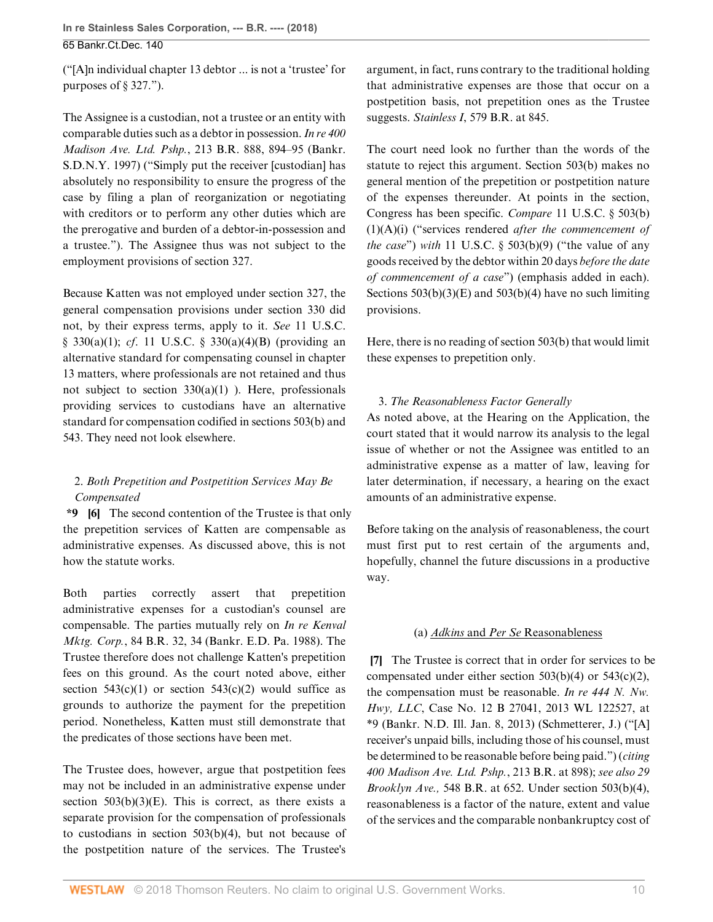("[A]n individual chapter 13 debtor ... is not a 'trustee' for purposes of § 327.").

The Assignee is a custodian, not a trustee or an entity with comparable duties such as a debtor in possession. *[In re 400](http://www.westlaw.com/Link/Document/FullText?findType=Y&serNum=1997215250&pubNum=0000164&originatingDoc=I146039b037bc11e888d5f23feb60b681&refType=RP&fi=co_pp_sp_164_894&originationContext=document&vr=3.0&rs=cblt1.0&transitionType=DocumentItem&contextData=(sc.History*oc.AlertsClip)#co_pp_sp_164_894) Madison Ave. Ltd. Pshp.*[, 213 B.R. 888, 894–95 \(Bankr.](http://www.westlaw.com/Link/Document/FullText?findType=Y&serNum=1997215250&pubNum=0000164&originatingDoc=I146039b037bc11e888d5f23feb60b681&refType=RP&fi=co_pp_sp_164_894&originationContext=document&vr=3.0&rs=cblt1.0&transitionType=DocumentItem&contextData=(sc.History*oc.AlertsClip)#co_pp_sp_164_894) [S.D.N.Y. 1997\)](http://www.westlaw.com/Link/Document/FullText?findType=Y&serNum=1997215250&pubNum=0000164&originatingDoc=I146039b037bc11e888d5f23feb60b681&refType=RP&fi=co_pp_sp_164_894&originationContext=document&vr=3.0&rs=cblt1.0&transitionType=DocumentItem&contextData=(sc.History*oc.AlertsClip)#co_pp_sp_164_894) ("Simply put the receiver [custodian] has absolutely no responsibility to ensure the progress of the case by filing a plan of reorganization or negotiating with creditors or to perform any other duties which are the prerogative and burden of a debtor-in-possession and a trustee."). The Assignee thus was not subject to the employment provisions of [section 327](http://www.westlaw.com/Link/Document/FullText?findType=L&pubNum=1000546&cite=11USCAS327&originatingDoc=I146039b037bc11e888d5f23feb60b681&refType=LQ&originationContext=document&vr=3.0&rs=cblt1.0&transitionType=DocumentItem&contextData=(sc.History*oc.AlertsClip)).

Because Katten was not employed under [section 327](http://www.westlaw.com/Link/Document/FullText?findType=L&pubNum=1000546&cite=11USCAS327&originatingDoc=I146039b037bc11e888d5f23feb60b681&refType=LQ&originationContext=document&vr=3.0&rs=cblt1.0&transitionType=DocumentItem&contextData=(sc.History*oc.AlertsClip)), the general compensation provisions under section 330 did not, by their express terms, apply to it. *See* [11 U.S.C.](http://www.westlaw.com/Link/Document/FullText?findType=L&pubNum=1000546&cite=11USCAS330&originatingDoc=I146039b037bc11e888d5f23feb60b681&refType=SP&originationContext=document&vr=3.0&rs=cblt1.0&transitionType=DocumentItem&contextData=(sc.History*oc.AlertsClip)#co_pp_7b9b000044381) [§ 330\(a\)\(1\);](http://www.westlaw.com/Link/Document/FullText?findType=L&pubNum=1000546&cite=11USCAS330&originatingDoc=I146039b037bc11e888d5f23feb60b681&refType=SP&originationContext=document&vr=3.0&rs=cblt1.0&transitionType=DocumentItem&contextData=(sc.History*oc.AlertsClip)#co_pp_7b9b000044381) *cf*. [11 U.S.C. § 330\(a\)\(4\)\(B\)](http://www.westlaw.com/Link/Document/FullText?findType=L&pubNum=1000546&cite=11USCAS330&originatingDoc=I146039b037bc11e888d5f23feb60b681&refType=SP&originationContext=document&vr=3.0&rs=cblt1.0&transitionType=DocumentItem&contextData=(sc.History*oc.AlertsClip)#co_pp_7f0000008ef57) (providing an alternative standard for compensating counsel in chapter 13 matters, where professionals are not retained and thus not subject to [section 330\(a\)\(1\)](http://www.westlaw.com/Link/Document/FullText?findType=L&pubNum=1000546&cite=11USCAS330&originatingDoc=I146039b037bc11e888d5f23feb60b681&refType=SP&originationContext=document&vr=3.0&rs=cblt1.0&transitionType=DocumentItem&contextData=(sc.History*oc.AlertsClip)#co_pp_7b9b000044381) ). Here, professionals providing services to custodians have an alternative standard for compensation codified in [sections 503\(b\)](http://www.westlaw.com/Link/Document/FullText?findType=L&pubNum=1000546&cite=11USCAS503&originatingDoc=I146039b037bc11e888d5f23feb60b681&refType=SP&originationContext=document&vr=3.0&rs=cblt1.0&transitionType=DocumentItem&contextData=(sc.History*oc.AlertsClip)#co_pp_a83b000018c76) and [543](http://www.westlaw.com/Link/Document/FullText?findType=L&pubNum=1000546&cite=11USCAS543&originatingDoc=I146039b037bc11e888d5f23feb60b681&refType=LQ&originationContext=document&vr=3.0&rs=cblt1.0&transitionType=DocumentItem&contextData=(sc.History*oc.AlertsClip)). They need not look elsewhere.

## <span id="page-9-0"></span>2. *Both Prepetition and Postpetition Services May Be Compensated*

**\*9 [\[6](#page-1-1)]** The second contention of the Trustee is that only the prepetition services of Katten are compensable as administrative expenses. As discussed above, this is not how the statute works.

Both parties correctly assert that prepetition administrative expenses for a custodian's counsel are compensable. The parties mutually rely on *[In re Kenval](http://www.westlaw.com/Link/Document/FullText?findType=Y&serNum=1988038012&pubNum=0000164&originatingDoc=I146039b037bc11e888d5f23feb60b681&refType=RP&fi=co_pp_sp_164_34&originationContext=document&vr=3.0&rs=cblt1.0&transitionType=DocumentItem&contextData=(sc.History*oc.AlertsClip)#co_pp_sp_164_34) Mktg. Corp.*[, 84 B.R. 32, 34 \(Bankr. E.D. Pa. 1988\).](http://www.westlaw.com/Link/Document/FullText?findType=Y&serNum=1988038012&pubNum=0000164&originatingDoc=I146039b037bc11e888d5f23feb60b681&refType=RP&fi=co_pp_sp_164_34&originationContext=document&vr=3.0&rs=cblt1.0&transitionType=DocumentItem&contextData=(sc.History*oc.AlertsClip)#co_pp_sp_164_34) The Trustee therefore does not challenge Katten's prepetition fees on this ground. As the court noted above, either section  $543(c)(1)$  or section  $543(c)(2)$  would suffice as grounds to authorize the payment for the prepetition period. Nonetheless, Katten must still demonstrate that the predicates of those sections have been met.

The Trustee does, however, argue that postpetition fees may not be included in an administrative expense under section  $503(b)(3)(E)$ . This is correct, as there exists a separate provision for the compensation of professionals to custodians in [section 503\(b\)\(4\)](http://www.westlaw.com/Link/Document/FullText?findType=L&pubNum=1000546&cite=11USCAS503&originatingDoc=I146039b037bc11e888d5f23feb60b681&refType=SP&originationContext=document&vr=3.0&rs=cblt1.0&transitionType=DocumentItem&contextData=(sc.History*oc.AlertsClip)#co_pp_6ad60000aeea7), but not because of the postpetition nature of the services. The Trustee's

argument, in fact, runs contrary to the traditional holding that administrative expenses are those that occur on a postpetition basis, not prepetition ones as the Trustee suggests. *Stainless I*[, 579 B.R. at 845](http://www.westlaw.com/Link/Document/FullText?findType=Y&serNum=2043458349&pubNum=0000164&originatingDoc=I146039b037bc11e888d5f23feb60b681&refType=RP&fi=co_pp_sp_164_845&originationContext=document&vr=3.0&rs=cblt1.0&transitionType=DocumentItem&contextData=(sc.History*oc.AlertsClip)#co_pp_sp_164_845).

The court need look no further than the words of the statute to reject this argument. [Section 503\(b\)](http://www.westlaw.com/Link/Document/FullText?findType=L&pubNum=1000546&cite=11USCAS503&originatingDoc=I146039b037bc11e888d5f23feb60b681&refType=SP&originationContext=document&vr=3.0&rs=cblt1.0&transitionType=DocumentItem&contextData=(sc.History*oc.AlertsClip)#co_pp_a83b000018c76) makes no general mention of the prepetition or postpetition nature of the expenses thereunder. At points in the section, Congress has been specific. *Compare* [11 U.S.C. § 503\(b\)](http://www.westlaw.com/Link/Document/FullText?findType=L&pubNum=1000546&cite=11USCAS503&originatingDoc=I146039b037bc11e888d5f23feb60b681&refType=SP&originationContext=document&vr=3.0&rs=cblt1.0&transitionType=DocumentItem&contextData=(sc.History*oc.AlertsClip)#co_pp_e0a1000077fc7) [\(1\)\(A\)\(i\)](http://www.westlaw.com/Link/Document/FullText?findType=L&pubNum=1000546&cite=11USCAS503&originatingDoc=I146039b037bc11e888d5f23feb60b681&refType=SP&originationContext=document&vr=3.0&rs=cblt1.0&transitionType=DocumentItem&contextData=(sc.History*oc.AlertsClip)#co_pp_e0a1000077fc7) ("services rendered *after the commencement of the case*") *with* [11 U.S.C. § 503\(b\)\(9\)](http://www.westlaw.com/Link/Document/FullText?findType=L&pubNum=1000546&cite=11USCAS503&originatingDoc=I146039b037bc11e888d5f23feb60b681&refType=SP&originationContext=document&vr=3.0&rs=cblt1.0&transitionType=DocumentItem&contextData=(sc.History*oc.AlertsClip)#co_pp_885e00005efe7) ("the value of any goods received by the debtor within 20 days *before the date of commencement of a case*") (emphasis added in each). Sections  $503(b)(3)(E)$  and  $503(b)(4)$  have no such limiting provisions.

Here, there is no reading of [section 503\(b\)](http://www.westlaw.com/Link/Document/FullText?findType=L&pubNum=1000546&cite=11USCAS503&originatingDoc=I146039b037bc11e888d5f23feb60b681&refType=SP&originationContext=document&vr=3.0&rs=cblt1.0&transitionType=DocumentItem&contextData=(sc.History*oc.AlertsClip)#co_pp_a83b000018c76) that would limit these expenses to prepetition only.

## 3. *The Reasonableness Factor Generally*

As noted above, at the Hearing on the Application, the court stated that it would narrow its analysis to the legal issue of whether or not the Assignee was entitled to an administrative expense as a matter of law, leaving for later determination, if necessary, a hearing on the exact amounts of an administrative expense.

Before taking on the analysis of reasonableness, the court must first put to rest certain of the arguments and, hopefully, channel the future discussions in a productive way.

### (a) *[Adkins](http://www.westlaw.com/Link/Document/FullText?findType=Y&serNum=2032693104&pubNum=0000164&originatingDoc=I146039b037bc11e888d5f23feb60b681&refType=RP&originationContext=document&vr=3.0&rs=cblt1.0&transitionType=DocumentItem&contextData=(sc.History*oc.AlertsClip))* and *Per Se* Reasonableness

<span id="page-9-1"></span>**[\[7](#page-1-4)]** The Trustee is correct that in order for services to be compensated under either [section 503\(b\)\(4\)](http://www.westlaw.com/Link/Document/FullText?findType=L&pubNum=1000546&cite=11USCAS503&originatingDoc=I146039b037bc11e888d5f23feb60b681&refType=SP&originationContext=document&vr=3.0&rs=cblt1.0&transitionType=DocumentItem&contextData=(sc.History*oc.AlertsClip)#co_pp_6ad60000aeea7) or [543\(c\)\(2\)](http://www.westlaw.com/Link/Document/FullText?findType=L&pubNum=1000546&cite=11USCAS543&originatingDoc=I146039b037bc11e888d5f23feb60b681&refType=SP&originationContext=document&vr=3.0&rs=cblt1.0&transitionType=DocumentItem&contextData=(sc.History*oc.AlertsClip)#co_pp_fcf30000ea9c4), the compensation must be reasonable. *[In re 444 N. Nw.](http://www.westlaw.com/Link/Document/FullText?findType=Y&serNum=2029626501&pubNum=0000999&originatingDoc=I146039b037bc11e888d5f23feb60b681&refType=RP&originationContext=document&vr=3.0&rs=cblt1.0&transitionType=DocumentItem&contextData=(sc.History*oc.AlertsClip)) Hwy, LLC*[, Case No. 12 B 27041, 2013 WL 122527, at](http://www.westlaw.com/Link/Document/FullText?findType=Y&serNum=2029626501&pubNum=0000999&originatingDoc=I146039b037bc11e888d5f23feb60b681&refType=RP&originationContext=document&vr=3.0&rs=cblt1.0&transitionType=DocumentItem&contextData=(sc.History*oc.AlertsClip)) [\\*9 \(Bankr. N.D. Ill. Jan. 8, 2013\)](http://www.westlaw.com/Link/Document/FullText?findType=Y&serNum=2029626501&pubNum=0000999&originatingDoc=I146039b037bc11e888d5f23feb60b681&refType=RP&originationContext=document&vr=3.0&rs=cblt1.0&transitionType=DocumentItem&contextData=(sc.History*oc.AlertsClip)) (Schmetterer, J.) ("[A] receiver's unpaid bills, including those of his counsel, must be determined to be reasonable before being paid.") (*citing [400 Madison Ave. Ltd. Pshp.](http://www.westlaw.com/Link/Document/FullText?findType=Y&serNum=1997215250&pubNum=0000164&originatingDoc=I146039b037bc11e888d5f23feb60b681&refType=RP&fi=co_pp_sp_164_898&originationContext=document&vr=3.0&rs=cblt1.0&transitionType=DocumentItem&contextData=(sc.History*oc.AlertsClip)#co_pp_sp_164_898)*, 213 B.R. at 898); *see also [29](http://www.westlaw.com/Link/Document/FullText?findType=Y&serNum=2038756398&pubNum=0000164&originatingDoc=I146039b037bc11e888d5f23feb60b681&refType=RP&fi=co_pp_sp_164_652&originationContext=document&vr=3.0&rs=cblt1.0&transitionType=DocumentItem&contextData=(sc.History*oc.AlertsClip)#co_pp_sp_164_652) Brooklyn Ave.,* [548 B.R. at 652.](http://www.westlaw.com/Link/Document/FullText?findType=Y&serNum=2038756398&pubNum=0000164&originatingDoc=I146039b037bc11e888d5f23feb60b681&refType=RP&fi=co_pp_sp_164_652&originationContext=document&vr=3.0&rs=cblt1.0&transitionType=DocumentItem&contextData=(sc.History*oc.AlertsClip)#co_pp_sp_164_652) Under [section 503\(b\)\(4\)](http://www.westlaw.com/Link/Document/FullText?findType=L&pubNum=1000546&cite=11USCAS503&originatingDoc=I146039b037bc11e888d5f23feb60b681&refType=SP&originationContext=document&vr=3.0&rs=cblt1.0&transitionType=DocumentItem&contextData=(sc.History*oc.AlertsClip)#co_pp_6ad60000aeea7), reasonableness is a factor of the nature, extent and value of the services and the comparable nonbankruptcy cost of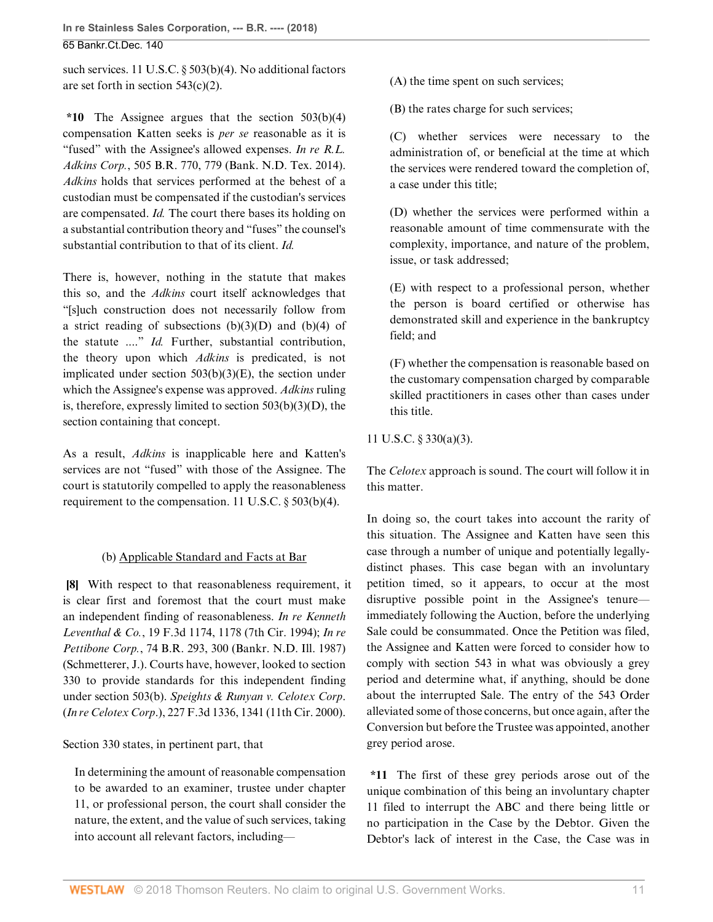such services. [11 U.S.C. § 503\(b\)\(4\)](http://www.westlaw.com/Link/Document/FullText?findType=L&pubNum=1000546&cite=11USCAS503&originatingDoc=I146039b037bc11e888d5f23feb60b681&refType=SP&originationContext=document&vr=3.0&rs=cblt1.0&transitionType=DocumentItem&contextData=(sc.History*oc.AlertsClip)#co_pp_6ad60000aeea7). No additional factors are set forth in [section 543\(c\)\(2\)](http://www.westlaw.com/Link/Document/FullText?findType=L&pubNum=1000546&cite=11USCAS543&originatingDoc=I146039b037bc11e888d5f23feb60b681&refType=SP&originationContext=document&vr=3.0&rs=cblt1.0&transitionType=DocumentItem&contextData=(sc.History*oc.AlertsClip)#co_pp_fcf30000ea9c4).

**\*10** The Assignee argues that the [section 503\(b\)\(4\)](http://www.westlaw.com/Link/Document/FullText?findType=L&pubNum=1000546&cite=11USCAS503&originatingDoc=I146039b037bc11e888d5f23feb60b681&refType=SP&originationContext=document&vr=3.0&rs=cblt1.0&transitionType=DocumentItem&contextData=(sc.History*oc.AlertsClip)#co_pp_6ad60000aeea7) compensation Katten seeks is *per se* reasonable as it is "fused" with the Assignee's allowed expenses. *[In re R.L.](http://www.westlaw.com/Link/Document/FullText?findType=Y&serNum=2032693104&pubNum=0000164&originatingDoc=I146039b037bc11e888d5f23feb60b681&refType=RP&fi=co_pp_sp_164_779&originationContext=document&vr=3.0&rs=cblt1.0&transitionType=DocumentItem&contextData=(sc.History*oc.AlertsClip)#co_pp_sp_164_779) Adkins Corp.*[, 505 B.R. 770, 779 \(Bank. N.D. Tex. 2014\)](http://www.westlaw.com/Link/Document/FullText?findType=Y&serNum=2032693104&pubNum=0000164&originatingDoc=I146039b037bc11e888d5f23feb60b681&refType=RP&fi=co_pp_sp_164_779&originationContext=document&vr=3.0&rs=cblt1.0&transitionType=DocumentItem&contextData=(sc.History*oc.AlertsClip)#co_pp_sp_164_779). *[Adkins](http://www.westlaw.com/Link/Document/FullText?findType=Y&serNum=2032693104&pubNum=0000164&originatingDoc=I146039b037bc11e888d5f23feb60b681&refType=RP&originationContext=document&vr=3.0&rs=cblt1.0&transitionType=DocumentItem&contextData=(sc.History*oc.AlertsClip))* holds that services performed at the behest of a custodian must be compensated if the custodian's services are compensated. *[Id.](http://www.westlaw.com/Link/Document/FullText?findType=Y&serNum=2032693104&pubNum=0000164&originatingDoc=I146039b037bc11e888d5f23feb60b681&refType=RP&originationContext=document&vr=3.0&rs=cblt1.0&transitionType=DocumentItem&contextData=(sc.History*oc.AlertsClip))* The court there bases its holding on a substantial contribution theory and "fuses" the counsel's substantial contribution to that of its client. *[Id.](http://www.westlaw.com/Link/Document/FullText?findType=Y&serNum=2032693104&pubNum=0000164&originatingDoc=I146039b037bc11e888d5f23feb60b681&refType=RP&originationContext=document&vr=3.0&rs=cblt1.0&transitionType=DocumentItem&contextData=(sc.History*oc.AlertsClip))*

There is, however, nothing in the statute that makes this so, and the *[Adkins](http://www.westlaw.com/Link/Document/FullText?findType=Y&serNum=2032693104&pubNum=0000164&originatingDoc=I146039b037bc11e888d5f23feb60b681&refType=RP&originationContext=document&vr=3.0&rs=cblt1.0&transitionType=DocumentItem&contextData=(sc.History*oc.AlertsClip))* court itself acknowledges that "[s]uch construction does not necessarily follow from a strict reading of subsections  $(b)(3)(D)$  and  $(b)(4)$  of the statute ...." *[Id.](http://www.westlaw.com/Link/Document/FullText?findType=Y&serNum=2032693104&pubNum=0000164&originatingDoc=I146039b037bc11e888d5f23feb60b681&refType=RP&originationContext=document&vr=3.0&rs=cblt1.0&transitionType=DocumentItem&contextData=(sc.History*oc.AlertsClip))* Further, substantial contribution, the theory upon which *[Adkins](http://www.westlaw.com/Link/Document/FullText?findType=Y&serNum=2032693104&pubNum=0000164&originatingDoc=I146039b037bc11e888d5f23feb60b681&refType=RP&originationContext=document&vr=3.0&rs=cblt1.0&transitionType=DocumentItem&contextData=(sc.History*oc.AlertsClip))* is predicated, is not implicated under section  $503(b)(3)(E)$ , the section under which the Assignee's expense was approved. *[Adkins](http://www.westlaw.com/Link/Document/FullText?findType=Y&serNum=2032693104&pubNum=0000164&originatingDoc=I146039b037bc11e888d5f23feb60b681&refType=RP&originationContext=document&vr=3.0&rs=cblt1.0&transitionType=DocumentItem&contextData=(sc.History*oc.AlertsClip))* ruling is, therefore, expressly limited to [section 503\(b\)\(3\)\(D\),](http://www.westlaw.com/Link/Document/FullText?findType=L&pubNum=1000546&cite=11USCAS503&originatingDoc=I146039b037bc11e888d5f23feb60b681&refType=SP&originationContext=document&vr=3.0&rs=cblt1.0&transitionType=DocumentItem&contextData=(sc.History*oc.AlertsClip)#co_pp_df1c0000f0ae5) the section containing that concept.

As a result, *[Adkins](http://www.westlaw.com/Link/Document/FullText?findType=Y&serNum=2032693104&pubNum=0000164&originatingDoc=I146039b037bc11e888d5f23feb60b681&refType=RP&originationContext=document&vr=3.0&rs=cblt1.0&transitionType=DocumentItem&contextData=(sc.History*oc.AlertsClip))* is inapplicable here and Katten's services are not "fused" with those of the Assignee. The court is statutorily compelled to apply the reasonableness requirement to the compensation. [11 U.S.C. § 503\(b\)\(4\)](http://www.westlaw.com/Link/Document/FullText?findType=L&pubNum=1000546&cite=11USCAS503&originatingDoc=I146039b037bc11e888d5f23feb60b681&refType=SP&originationContext=document&vr=3.0&rs=cblt1.0&transitionType=DocumentItem&contextData=(sc.History*oc.AlertsClip)#co_pp_6ad60000aeea7).

## (b) Applicable Standard and Facts at Bar

<span id="page-10-0"></span>**[\[8](#page-1-5)]** With respect to that reasonableness requirement, it is clear first and foremost that the court must make an independent finding of reasonableness. *[In re Kenneth](http://www.westlaw.com/Link/Document/FullText?findType=Y&serNum=1994070566&pubNum=0000506&originatingDoc=I146039b037bc11e888d5f23feb60b681&refType=RP&fi=co_pp_sp_506_1178&originationContext=document&vr=3.0&rs=cblt1.0&transitionType=DocumentItem&contextData=(sc.History*oc.AlertsClip)#co_pp_sp_506_1178) Leventhal & Co.*[, 19 F.3d 1174, 1178 \(7th Cir. 1994\)](http://www.westlaw.com/Link/Document/FullText?findType=Y&serNum=1994070566&pubNum=0000506&originatingDoc=I146039b037bc11e888d5f23feb60b681&refType=RP&fi=co_pp_sp_506_1178&originationContext=document&vr=3.0&rs=cblt1.0&transitionType=DocumentItem&contextData=(sc.History*oc.AlertsClip)#co_pp_sp_506_1178); *[In re](http://www.westlaw.com/Link/Document/FullText?findType=Y&serNum=1987068306&pubNum=0000164&originatingDoc=I146039b037bc11e888d5f23feb60b681&refType=RP&fi=co_pp_sp_164_300&originationContext=document&vr=3.0&rs=cblt1.0&transitionType=DocumentItem&contextData=(sc.History*oc.AlertsClip)#co_pp_sp_164_300) Pettibone Corp.*[, 74 B.R. 293, 300 \(Bankr. N.D. Ill. 1987\)](http://www.westlaw.com/Link/Document/FullText?findType=Y&serNum=1987068306&pubNum=0000164&originatingDoc=I146039b037bc11e888d5f23feb60b681&refType=RP&fi=co_pp_sp_164_300&originationContext=document&vr=3.0&rs=cblt1.0&transitionType=DocumentItem&contextData=(sc.History*oc.AlertsClip)#co_pp_sp_164_300) (Schmetterer, J.). Courts have, however, looked to [section](http://www.westlaw.com/Link/Document/FullText?findType=L&pubNum=1000546&cite=11USCAS330&originatingDoc=I146039b037bc11e888d5f23feb60b681&refType=LQ&originationContext=document&vr=3.0&rs=cblt1.0&transitionType=DocumentItem&contextData=(sc.History*oc.AlertsClip)) [330](http://www.westlaw.com/Link/Document/FullText?findType=L&pubNum=1000546&cite=11USCAS330&originatingDoc=I146039b037bc11e888d5f23feb60b681&refType=LQ&originationContext=document&vr=3.0&rs=cblt1.0&transitionType=DocumentItem&contextData=(sc.History*oc.AlertsClip)) to provide standards for this independent finding under [section 503\(b\).](http://www.westlaw.com/Link/Document/FullText?findType=L&pubNum=1000546&cite=11USCAS503&originatingDoc=I146039b037bc11e888d5f23feb60b681&refType=SP&originationContext=document&vr=3.0&rs=cblt1.0&transitionType=DocumentItem&contextData=(sc.History*oc.AlertsClip)#co_pp_a83b000018c76) *[Speights & Runyan v. Celotex Corp](http://www.westlaw.com/Link/Document/FullText?findType=Y&serNum=2000524529&pubNum=0000506&originatingDoc=I146039b037bc11e888d5f23feb60b681&refType=RP&fi=co_pp_sp_506_1341&originationContext=document&vr=3.0&rs=cblt1.0&transitionType=DocumentItem&contextData=(sc.History*oc.AlertsClip)#co_pp_sp_506_1341)*. (*In re Celotex Corp*[.\), 227 F.3d 1336, 1341 \(11th Cir. 2000\)](http://www.westlaw.com/Link/Document/FullText?findType=Y&serNum=2000524529&pubNum=0000506&originatingDoc=I146039b037bc11e888d5f23feb60b681&refType=RP&fi=co_pp_sp_506_1341&originationContext=document&vr=3.0&rs=cblt1.0&transitionType=DocumentItem&contextData=(sc.History*oc.AlertsClip)#co_pp_sp_506_1341).

## [Section 330](http://www.westlaw.com/Link/Document/FullText?findType=L&pubNum=1000546&cite=11USCAS330&originatingDoc=I146039b037bc11e888d5f23feb60b681&refType=LQ&originationContext=document&vr=3.0&rs=cblt1.0&transitionType=DocumentItem&contextData=(sc.History*oc.AlertsClip)) states, in pertinent part, that

In determining the amount of reasonable compensation to be awarded to an examiner, trustee under chapter 11, or professional person, the court shall consider the nature, the extent, and the value of such services, taking into account all relevant factors, including(A) the time spent on such services;

(B) the rates charge for such services;

(C) whether services were necessary to the administration of, or beneficial at the time at which the services were rendered toward the completion of, a case under this title;

(D) whether the services were performed within a reasonable amount of time commensurate with the complexity, importance, and nature of the problem, issue, or task addressed;

(E) with respect to a professional person, whether the person is board certified or otherwise has demonstrated skill and experience in the bankruptcy field; and

(F) whether the compensation is reasonable based on the customary compensation charged by comparable skilled practitioners in cases other than cases under this title.

[11 U.S.C. § 330\(a\)\(3\).](http://www.westlaw.com/Link/Document/FullText?findType=L&pubNum=1000546&cite=11USCAS330&originatingDoc=I146039b037bc11e888d5f23feb60b681&refType=SP&originationContext=document&vr=3.0&rs=cblt1.0&transitionType=DocumentItem&contextData=(sc.History*oc.AlertsClip)#co_pp_28cc0000ccca6)

The *[Celotex](http://www.westlaw.com/Link/Document/FullText?findType=Y&serNum=2000524529&pubNum=0000506&originatingDoc=I146039b037bc11e888d5f23feb60b681&refType=RP&originationContext=document&vr=3.0&rs=cblt1.0&transitionType=DocumentItem&contextData=(sc.History*oc.AlertsClip))* approach is sound. The court will follow it in this matter.

In doing so, the court takes into account the rarity of this situation. The Assignee and Katten have seen this case through a number of unique and potentially legallydistinct phases. This case began with an involuntary petition timed, so it appears, to occur at the most disruptive possible point in the Assignee's tenure immediately following the Auction, before the underlying Sale could be consummated. Once the Petition was filed, the Assignee and Katten were forced to consider how to comply with [section 543](http://www.westlaw.com/Link/Document/FullText?findType=L&pubNum=1000546&cite=11USCAS543&originatingDoc=I146039b037bc11e888d5f23feb60b681&refType=LQ&originationContext=document&vr=3.0&rs=cblt1.0&transitionType=DocumentItem&contextData=(sc.History*oc.AlertsClip)) in what was obviously a grey period and determine what, if anything, should be done about the interrupted Sale. The entry of the 543 Order alleviated some of those concerns, but once again, after the Conversion but before the Trustee was appointed, another grey period arose.

**\*11** The first of these grey periods arose out of the unique combination of this being an involuntary chapter 11 filed to interrupt the ABC and there being little or no participation in the Case by the Debtor. Given the Debtor's lack of interest in the Case, the Case was in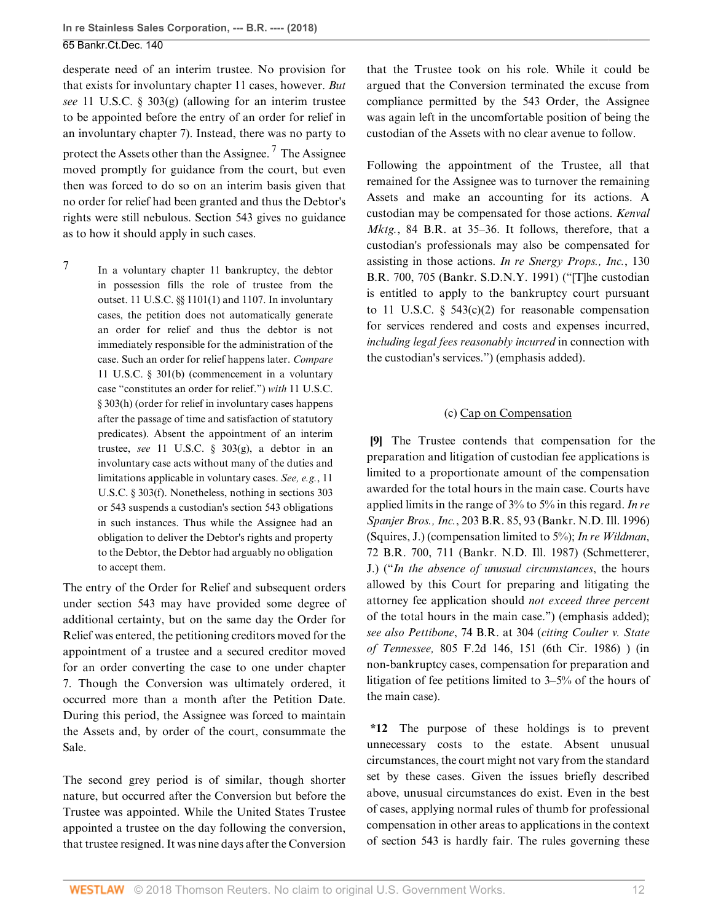desperate need of an interim trustee. No provision for that exists for involuntary chapter 11 cases, however. *But see* [11 U.S.C. § 303\(g\)](http://www.westlaw.com/Link/Document/FullText?findType=L&pubNum=1000546&cite=11USCAS303&originatingDoc=I146039b037bc11e888d5f23feb60b681&refType=SP&originationContext=document&vr=3.0&rs=cblt1.0&transitionType=DocumentItem&contextData=(sc.History*oc.AlertsClip)#co_pp_16f4000091d86) (allowing for an interim trustee to be appointed before the entry of an order for relief in an involuntary chapter 7). Instead, there was no party to protect the Assets other than the Assignee.<sup>[7](#page-11-1)</sup> The Assignee moved promptly for guidance from the court, but even then was forced to do so on an interim basis given that no order for relief had been granted and thus the Debtor's rights were still nebulous. [Section 543](http://www.westlaw.com/Link/Document/FullText?findType=L&pubNum=1000546&cite=11USCAS543&originatingDoc=I146039b037bc11e888d5f23feb60b681&refType=LQ&originationContext=document&vr=3.0&rs=cblt1.0&transitionType=DocumentItem&contextData=(sc.History*oc.AlertsClip)) gives no guidance as to how it should apply in such cases.

<span id="page-11-1"></span>[7](#page-11-2)

In a voluntary chapter 11 bankruptcy, the debtor in possession fills the role of trustee from the outset. [11 U.S.C. §§ 1101\(1\)](http://www.westlaw.com/Link/Document/FullText?findType=L&pubNum=1000546&cite=11USCAS1101&originatingDoc=I146039b037bc11e888d5f23feb60b681&refType=SP&originationContext=document&vr=3.0&rs=cblt1.0&transitionType=DocumentItem&contextData=(sc.History*oc.AlertsClip)#co_pp_f1c50000821b0) and [1107](http://www.westlaw.com/Link/Document/FullText?findType=L&pubNum=1000546&cite=11USCAS1107&originatingDoc=I146039b037bc11e888d5f23feb60b681&refType=LQ&originationContext=document&vr=3.0&rs=cblt1.0&transitionType=DocumentItem&contextData=(sc.History*oc.AlertsClip)). In involuntary cases, the petition does not automatically generate an order for relief and thus the debtor is not immediately responsible for the administration of the case. Such an order for relief happens later. *Compare* [11 U.S.C. § 301\(b\)](http://www.westlaw.com/Link/Document/FullText?findType=L&pubNum=1000546&cite=11USCAS301&originatingDoc=I146039b037bc11e888d5f23feb60b681&refType=SP&originationContext=document&vr=3.0&rs=cblt1.0&transitionType=DocumentItem&contextData=(sc.History*oc.AlertsClip)#co_pp_a83b000018c76) (commencement in a voluntary case "constitutes an order for relief.") *with* [11 U.S.C.](http://www.westlaw.com/Link/Document/FullText?findType=L&pubNum=1000546&cite=11USCAS303&originatingDoc=I146039b037bc11e888d5f23feb60b681&refType=SP&originationContext=document&vr=3.0&rs=cblt1.0&transitionType=DocumentItem&contextData=(sc.History*oc.AlertsClip)#co_pp_f383000077b35) [§ 303\(h\)](http://www.westlaw.com/Link/Document/FullText?findType=L&pubNum=1000546&cite=11USCAS303&originatingDoc=I146039b037bc11e888d5f23feb60b681&refType=SP&originationContext=document&vr=3.0&rs=cblt1.0&transitionType=DocumentItem&contextData=(sc.History*oc.AlertsClip)#co_pp_f383000077b35) (order for relief in involuntary cases happens after the passage of time and satisfaction of statutory predicates). Absent the appointment of an interim trustee, *see* [11 U.S.C. § 303\(g\)](http://www.westlaw.com/Link/Document/FullText?findType=L&pubNum=1000546&cite=11USCAS303&originatingDoc=I146039b037bc11e888d5f23feb60b681&refType=SP&originationContext=document&vr=3.0&rs=cblt1.0&transitionType=DocumentItem&contextData=(sc.History*oc.AlertsClip)#co_pp_16f4000091d86), a debtor in an involuntary case acts without many of the duties and limitations applicable in voluntary cases. *See, e.g.*, [11](http://www.westlaw.com/Link/Document/FullText?findType=L&pubNum=1000546&cite=11USCAS303&originatingDoc=I146039b037bc11e888d5f23feb60b681&refType=SP&originationContext=document&vr=3.0&rs=cblt1.0&transitionType=DocumentItem&contextData=(sc.History*oc.AlertsClip)#co_pp_ae0d0000c5150) [U.S.C. § 303\(f\)](http://www.westlaw.com/Link/Document/FullText?findType=L&pubNum=1000546&cite=11USCAS303&originatingDoc=I146039b037bc11e888d5f23feb60b681&refType=SP&originationContext=document&vr=3.0&rs=cblt1.0&transitionType=DocumentItem&contextData=(sc.History*oc.AlertsClip)#co_pp_ae0d0000c5150). Nonetheless, nothing in [sections 303](http://www.westlaw.com/Link/Document/FullText?findType=L&pubNum=1000546&cite=11USCAS303&originatingDoc=I146039b037bc11e888d5f23feb60b681&refType=LQ&originationContext=document&vr=3.0&rs=cblt1.0&transitionType=DocumentItem&contextData=(sc.History*oc.AlertsClip)) or [543](http://www.westlaw.com/Link/Document/FullText?findType=L&pubNum=1000546&cite=11USCAS543&originatingDoc=I146039b037bc11e888d5f23feb60b681&refType=LQ&originationContext=document&vr=3.0&rs=cblt1.0&transitionType=DocumentItem&contextData=(sc.History*oc.AlertsClip)) suspends a custodian's [section 543](http://www.westlaw.com/Link/Document/FullText?findType=L&pubNum=1000546&cite=11USCAS543&originatingDoc=I146039b037bc11e888d5f23feb60b681&refType=LQ&originationContext=document&vr=3.0&rs=cblt1.0&transitionType=DocumentItem&contextData=(sc.History*oc.AlertsClip)) obligations in such instances. Thus while the Assignee had an obligation to deliver the Debtor's rights and property to the Debtor, the Debtor had arguably no obligation to accept them.

The entry of the Order for Relief and subsequent orders under [section 543](http://www.westlaw.com/Link/Document/FullText?findType=L&pubNum=1000546&cite=11USCAS543&originatingDoc=I146039b037bc11e888d5f23feb60b681&refType=LQ&originationContext=document&vr=3.0&rs=cblt1.0&transitionType=DocumentItem&contextData=(sc.History*oc.AlertsClip)) may have provided some degree of additional certainty, but on the same day the Order for Relief was entered, the petitioning creditors moved for the appointment of a trustee and a secured creditor moved for an order converting the case to one under chapter 7. Though the Conversion was ultimately ordered, it occurred more than a month after the Petition Date. During this period, the Assignee was forced to maintain the Assets and, by order of the court, consummate the Sale.

The second grey period is of similar, though shorter nature, but occurred after the Conversion but before the Trustee was appointed. While the United States Trustee appointed a trustee on the day following the conversion, that trustee resigned. It was nine days after the Conversion that the Trustee took on his role. While it could be argued that the Conversion terminated the excuse from compliance permitted by the 543 Order, the Assignee was again left in the uncomfortable position of being the custodian of the Assets with no clear avenue to follow.

<span id="page-11-2"></span>Following the appointment of the Trustee, all that remained for the Assignee was to turnover the remaining Assets and make an accounting for its actions. A custodian may be compensated for those actions. *[Kenval](http://www.westlaw.com/Link/Document/FullText?findType=Y&serNum=1988038012&pubNum=0000164&originatingDoc=I146039b037bc11e888d5f23feb60b681&refType=RP&fi=co_pp_sp_164_35&originationContext=document&vr=3.0&rs=cblt1.0&transitionType=DocumentItem&contextData=(sc.History*oc.AlertsClip)#co_pp_sp_164_35) Mktg.*[, 84 B.R. at 35–36.](http://www.westlaw.com/Link/Document/FullText?findType=Y&serNum=1988038012&pubNum=0000164&originatingDoc=I146039b037bc11e888d5f23feb60b681&refType=RP&fi=co_pp_sp_164_35&originationContext=document&vr=3.0&rs=cblt1.0&transitionType=DocumentItem&contextData=(sc.History*oc.AlertsClip)#co_pp_sp_164_35) It follows, therefore, that a custodian's professionals may also be compensated for assisting in those actions. *[In re Snergy Props., Inc.](http://www.westlaw.com/Link/Document/FullText?findType=Y&serNum=1991147571&pubNum=0000164&originatingDoc=I146039b037bc11e888d5f23feb60b681&refType=RP&fi=co_pp_sp_164_705&originationContext=document&vr=3.0&rs=cblt1.0&transitionType=DocumentItem&contextData=(sc.History*oc.AlertsClip)#co_pp_sp_164_705)*, 130 [B.R. 700, 705 \(Bankr. S.D.N.Y. 1991\)](http://www.westlaw.com/Link/Document/FullText?findType=Y&serNum=1991147571&pubNum=0000164&originatingDoc=I146039b037bc11e888d5f23feb60b681&refType=RP&fi=co_pp_sp_164_705&originationContext=document&vr=3.0&rs=cblt1.0&transitionType=DocumentItem&contextData=(sc.History*oc.AlertsClip)#co_pp_sp_164_705) ("[T]he custodian is entitled to apply to the bankruptcy court pursuant to 11 U.S.C.  $\S$  543(c)(2) for reasonable compensation for services rendered and costs and expenses incurred, *including legal fees reasonably incurred* in connection with the custodian's services.") (emphasis added).

### (c) Cap on Compensation

<span id="page-11-0"></span>**[\[9](#page-1-2)]** The Trustee contends that compensation for the preparation and litigation of custodian fee applications is limited to a proportionate amount of the compensation awarded for the total hours in the main case. Courts have applied limits in the range of 3% to 5% in this regard. *[In re](http://www.westlaw.com/Link/Document/FullText?findType=Y&serNum=1996267289&pubNum=0000164&originatingDoc=I146039b037bc11e888d5f23feb60b681&refType=RP&fi=co_pp_sp_164_93&originationContext=document&vr=3.0&rs=cblt1.0&transitionType=DocumentItem&contextData=(sc.History*oc.AlertsClip)#co_pp_sp_164_93) Spanjer Bros., Inc.*[, 203 B.R. 85, 93 \(Bankr. N.D. Ill. 1996\)](http://www.westlaw.com/Link/Document/FullText?findType=Y&serNum=1996267289&pubNum=0000164&originatingDoc=I146039b037bc11e888d5f23feb60b681&refType=RP&fi=co_pp_sp_164_93&originationContext=document&vr=3.0&rs=cblt1.0&transitionType=DocumentItem&contextData=(sc.History*oc.AlertsClip)#co_pp_sp_164_93) (Squires, J.) (compensation limited to 5%); *[In re Wildman](http://www.westlaw.com/Link/Document/FullText?findType=Y&serNum=1987049665&pubNum=0000164&originatingDoc=I146039b037bc11e888d5f23feb60b681&refType=RP&fi=co_pp_sp_164_711&originationContext=document&vr=3.0&rs=cblt1.0&transitionType=DocumentItem&contextData=(sc.History*oc.AlertsClip)#co_pp_sp_164_711)*, [72 B.R. 700, 711 \(Bankr. N.D. Ill. 1987\)](http://www.westlaw.com/Link/Document/FullText?findType=Y&serNum=1987049665&pubNum=0000164&originatingDoc=I146039b037bc11e888d5f23feb60b681&refType=RP&fi=co_pp_sp_164_711&originationContext=document&vr=3.0&rs=cblt1.0&transitionType=DocumentItem&contextData=(sc.History*oc.AlertsClip)#co_pp_sp_164_711) (Schmetterer, J.) ("*In the absence of unusual circumstances*, the hours allowed by this Court for preparing and litigating the attorney fee application should *not exceed three percent* of the total hours in the main case.") (emphasis added); *see also Pettibone*[, 74 B.R. at 304](http://www.westlaw.com/Link/Document/FullText?findType=Y&serNum=1987068306&pubNum=0000164&originatingDoc=I146039b037bc11e888d5f23feb60b681&refType=RP&fi=co_pp_sp_164_304&originationContext=document&vr=3.0&rs=cblt1.0&transitionType=DocumentItem&contextData=(sc.History*oc.AlertsClip)#co_pp_sp_164_304) (*citing [Coulter v. State](http://www.westlaw.com/Link/Document/FullText?findType=Y&serNum=1986153408&pubNum=0000350&originatingDoc=I146039b037bc11e888d5f23feb60b681&refType=RP&fi=co_pp_sp_350_151&originationContext=document&vr=3.0&rs=cblt1.0&transitionType=DocumentItem&contextData=(sc.History*oc.AlertsClip)#co_pp_sp_350_151) of Tennessee,* [805 F.2d 146, 151 \(6th Cir. 1986\)](http://www.westlaw.com/Link/Document/FullText?findType=Y&serNum=1986153408&pubNum=0000350&originatingDoc=I146039b037bc11e888d5f23feb60b681&refType=RP&fi=co_pp_sp_350_151&originationContext=document&vr=3.0&rs=cblt1.0&transitionType=DocumentItem&contextData=(sc.History*oc.AlertsClip)#co_pp_sp_350_151) ) (in non-bankruptcy cases, compensation for preparation and litigation of fee petitions limited to 3–5% of the hours of the main case).

**\*12** The purpose of these holdings is to prevent unnecessary costs to the estate. Absent unusual circumstances, the court might not vary from the standard set by these cases. Given the issues briefly described above, unusual circumstances do exist. Even in the best of cases, applying normal rules of thumb for professional compensation in other areas to applications in the context of [section 543](http://www.westlaw.com/Link/Document/FullText?findType=L&pubNum=1000546&cite=11USCAS543&originatingDoc=I146039b037bc11e888d5f23feb60b681&refType=LQ&originationContext=document&vr=3.0&rs=cblt1.0&transitionType=DocumentItem&contextData=(sc.History*oc.AlertsClip)) is hardly fair. The rules governing these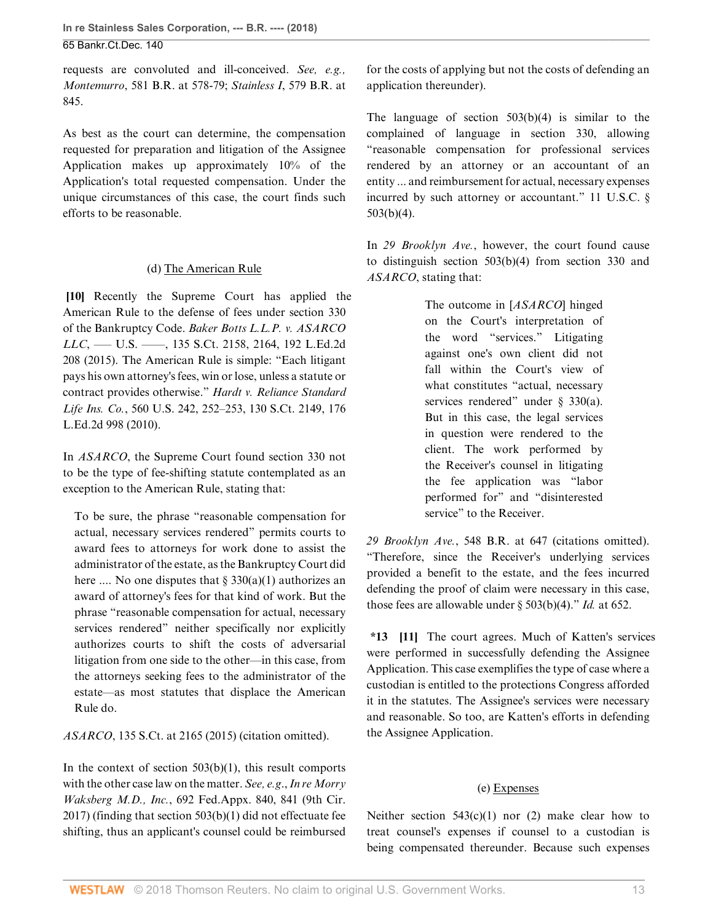**In re Stainless Sales Corporation, --- B.R. ---- (2018)** 65 Bankr.Ct.Dec. 140

requests are convoluted and ill-conceived. *See, e.g., Montemurro*[, 581 B.R. at 578-79;](http://www.westlaw.com/Link/Document/FullText?findType=Y&serNum=2043806720&pubNum=0000164&originatingDoc=I146039b037bc11e888d5f23feb60b681&refType=RP&fi=co_pp_sp_164_578&originationContext=document&vr=3.0&rs=cblt1.0&transitionType=DocumentItem&contextData=(sc.History*oc.AlertsClip)#co_pp_sp_164_578) *Stainless I*[, 579 B.R. at](http://www.westlaw.com/Link/Document/FullText?findType=Y&serNum=2043458349&pubNum=0000164&originatingDoc=I146039b037bc11e888d5f23feb60b681&refType=RP&fi=co_pp_sp_164_845&originationContext=document&vr=3.0&rs=cblt1.0&transitionType=DocumentItem&contextData=(sc.History*oc.AlertsClip)#co_pp_sp_164_845) [845](http://www.westlaw.com/Link/Document/FullText?findType=Y&serNum=2043458349&pubNum=0000164&originatingDoc=I146039b037bc11e888d5f23feb60b681&refType=RP&fi=co_pp_sp_164_845&originationContext=document&vr=3.0&rs=cblt1.0&transitionType=DocumentItem&contextData=(sc.History*oc.AlertsClip)#co_pp_sp_164_845).

As best as the court can determine, the compensation requested for preparation and litigation of the Assignee Application makes up approximately 10% of the Application's total requested compensation. Under the unique circumstances of this case, the court finds such efforts to be reasonable.

### (d) The American Rule

<span id="page-12-0"></span>**[\[10](#page-1-6)]** Recently the Supreme Court has applied the American Rule to the defense of fees under [section 330](http://www.westlaw.com/Link/Document/FullText?findType=L&pubNum=1000611&cite=11USCAS330&originatingDoc=I146039b037bc11e888d5f23feb60b681&refType=LQ&originationContext=document&vr=3.0&rs=cblt1.0&transitionType=DocumentItem&contextData=(sc.History*oc.AlertsClip)) [of the Bankruptcy Code.](http://www.westlaw.com/Link/Document/FullText?findType=L&pubNum=1000611&cite=11USCAS330&originatingDoc=I146039b037bc11e888d5f23feb60b681&refType=LQ&originationContext=document&vr=3.0&rs=cblt1.0&transitionType=DocumentItem&contextData=(sc.History*oc.AlertsClip)) *[Baker Botts L.L.P. v. ASARCO](http://www.westlaw.com/Link/Document/FullText?findType=Y&serNum=2036446548&pubNum=0000708&originatingDoc=I146039b037bc11e888d5f23feb60b681&refType=RP&fi=co_pp_sp_708_2164&originationContext=document&vr=3.0&rs=cblt1.0&transitionType=DocumentItem&contextData=(sc.History*oc.AlertsClip)#co_pp_sp_708_2164) LLC*[, ––– U.S. ––––, 135 S.Ct. 2158, 2164, 192 L.Ed.2d](http://www.westlaw.com/Link/Document/FullText?findType=Y&serNum=2036446548&pubNum=0000708&originatingDoc=I146039b037bc11e888d5f23feb60b681&refType=RP&fi=co_pp_sp_708_2164&originationContext=document&vr=3.0&rs=cblt1.0&transitionType=DocumentItem&contextData=(sc.History*oc.AlertsClip)#co_pp_sp_708_2164) [208 \(2015\).](http://www.westlaw.com/Link/Document/FullText?findType=Y&serNum=2036446548&pubNum=0000708&originatingDoc=I146039b037bc11e888d5f23feb60b681&refType=RP&fi=co_pp_sp_708_2164&originationContext=document&vr=3.0&rs=cblt1.0&transitionType=DocumentItem&contextData=(sc.History*oc.AlertsClip)#co_pp_sp_708_2164) The American Rule is simple: "Each litigant pays his own attorney's fees, win or lose, unless a statute or contract provides otherwise." *[Hardt v. Reliance Standard](http://www.westlaw.com/Link/Document/FullText?findType=Y&serNum=2022098188&pubNum=0000708&originatingDoc=I146039b037bc11e888d5f23feb60b681&refType=RP&originationContext=document&vr=3.0&rs=cblt1.0&transitionType=DocumentItem&contextData=(sc.History*oc.AlertsClip)) Life Ins. Co.*[, 560 U.S. 242, 252–253, 130 S.Ct. 2149, 176](http://www.westlaw.com/Link/Document/FullText?findType=Y&serNum=2022098188&pubNum=0000708&originatingDoc=I146039b037bc11e888d5f23feb60b681&refType=RP&originationContext=document&vr=3.0&rs=cblt1.0&transitionType=DocumentItem&contextData=(sc.History*oc.AlertsClip)) [L.Ed.2d 998 \(2010\)](http://www.westlaw.com/Link/Document/FullText?findType=Y&serNum=2022098188&pubNum=0000708&originatingDoc=I146039b037bc11e888d5f23feb60b681&refType=RP&originationContext=document&vr=3.0&rs=cblt1.0&transitionType=DocumentItem&contextData=(sc.History*oc.AlertsClip)).

In *[ASARCO](http://www.westlaw.com/Link/Document/FullText?findType=Y&serNum=2036446548&pubNum=0000708&originatingDoc=I146039b037bc11e888d5f23feb60b681&refType=RP&originationContext=document&vr=3.0&rs=cblt1.0&transitionType=DocumentItem&contextData=(sc.History*oc.AlertsClip))*, the Supreme Court found [section 330](http://www.westlaw.com/Link/Document/FullText?findType=L&pubNum=1000611&cite=11USCAS330&originatingDoc=I146039b037bc11e888d5f23feb60b681&refType=LQ&originationContext=document&vr=3.0&rs=cblt1.0&transitionType=DocumentItem&contextData=(sc.History*oc.AlertsClip)) not to be the type of fee-shifting statute contemplated as an exception to the American Rule, stating that:

To be sure, the phrase "reasonable compensation for actual, necessary services rendered" permits courts to award fees to attorneys for work done to assist the administrator of the estate, as the Bankruptcy Court did here .... No one disputes that  $\S 330(a)(1)$  authorizes an award of attorney's fees for that kind of work. But the phrase "reasonable compensation for actual, necessary services rendered" neither specifically nor explicitly authorizes courts to shift the costs of adversarial litigation from one side to the other—in this case, from the attorneys seeking fees to the administrator of the estate—as most statutes that displace the American Rule do.

*ASARCO*[, 135 S.Ct. at 2165 \(2015\)](http://www.westlaw.com/Link/Document/FullText?findType=Y&serNum=2036446548&pubNum=0000708&originatingDoc=I146039b037bc11e888d5f23feb60b681&refType=RP&fi=co_pp_sp_708_2165&originationContext=document&vr=3.0&rs=cblt1.0&transitionType=DocumentItem&contextData=(sc.History*oc.AlertsClip)#co_pp_sp_708_2165) (citation omitted).

In the context of section  $503(b)(1)$ , this result comports with the other case law on the matter. *See, e.g*., *[In re Morry](http://www.westlaw.com/Link/Document/FullText?findType=Y&serNum=2041956947&pubNum=0006538&originatingDoc=I146039b037bc11e888d5f23feb60b681&refType=RP&fi=co_pp_sp_6538_841&originationContext=document&vr=3.0&rs=cblt1.0&transitionType=DocumentItem&contextData=(sc.History*oc.AlertsClip)#co_pp_sp_6538_841) Waksberg M.D., Inc.*[, 692 Fed.Appx. 840, 841 \(9th Cir.](http://www.westlaw.com/Link/Document/FullText?findType=Y&serNum=2041956947&pubNum=0006538&originatingDoc=I146039b037bc11e888d5f23feb60b681&refType=RP&fi=co_pp_sp_6538_841&originationContext=document&vr=3.0&rs=cblt1.0&transitionType=DocumentItem&contextData=(sc.History*oc.AlertsClip)#co_pp_sp_6538_841) [2017\)](http://www.westlaw.com/Link/Document/FullText?findType=Y&serNum=2041956947&pubNum=0006538&originatingDoc=I146039b037bc11e888d5f23feb60b681&refType=RP&fi=co_pp_sp_6538_841&originationContext=document&vr=3.0&rs=cblt1.0&transitionType=DocumentItem&contextData=(sc.History*oc.AlertsClip)#co_pp_sp_6538_841) (finding that [section 503\(b\)\(1\)](http://www.westlaw.com/Link/Document/FullText?findType=L&pubNum=1000546&cite=11USCAS503&originatingDoc=I146039b037bc11e888d5f23feb60b681&refType=SP&originationContext=document&vr=3.0&rs=cblt1.0&transitionType=DocumentItem&contextData=(sc.History*oc.AlertsClip)#co_pp_3fed000053a85) did not effectuate fee shifting, thus an applicant's counsel could be reimbursed

for the costs of applying but not the costs of defending an application thereunder).

The language of section  $503(b)(4)$  is similar to the complained of language in [section 330,](http://www.westlaw.com/Link/Document/FullText?findType=L&pubNum=1000611&cite=11USCAS330&originatingDoc=I146039b037bc11e888d5f23feb60b681&refType=LQ&originationContext=document&vr=3.0&rs=cblt1.0&transitionType=DocumentItem&contextData=(sc.History*oc.AlertsClip)) allowing "reasonable compensation for professional services rendered by an attorney or an accountant of an entity ... and reimbursement for actual, necessary expenses incurred by such attorney or accountant." [11 U.S.C. §](http://www.westlaw.com/Link/Document/FullText?findType=L&pubNum=1000546&cite=11USCAS503&originatingDoc=I146039b037bc11e888d5f23feb60b681&refType=SP&originationContext=document&vr=3.0&rs=cblt1.0&transitionType=DocumentItem&contextData=(sc.History*oc.AlertsClip)#co_pp_6ad60000aeea7) [503\(b\)\(4\).](http://www.westlaw.com/Link/Document/FullText?findType=L&pubNum=1000546&cite=11USCAS503&originatingDoc=I146039b037bc11e888d5f23feb60b681&refType=SP&originationContext=document&vr=3.0&rs=cblt1.0&transitionType=DocumentItem&contextData=(sc.History*oc.AlertsClip)#co_pp_6ad60000aeea7)

In *[29 Brooklyn Ave.](http://www.westlaw.com/Link/Document/FullText?findType=Y&serNum=2038756398&pubNum=0000164&originatingDoc=I146039b037bc11e888d5f23feb60b681&refType=RP&originationContext=document&vr=3.0&rs=cblt1.0&transitionType=DocumentItem&contextData=(sc.History*oc.AlertsClip))*, however, the court found cause to distinguish [section 503\(b\)\(4\)](http://www.westlaw.com/Link/Document/FullText?findType=L&pubNum=1000546&cite=11USCAS503&originatingDoc=I146039b037bc11e888d5f23feb60b681&refType=SP&originationContext=document&vr=3.0&rs=cblt1.0&transitionType=DocumentItem&contextData=(sc.History*oc.AlertsClip)#co_pp_6ad60000aeea7) from [section 330](http://www.westlaw.com/Link/Document/FullText?findType=L&pubNum=1000611&cite=11USCAS330&originatingDoc=I146039b037bc11e888d5f23feb60b681&refType=LQ&originationContext=document&vr=3.0&rs=cblt1.0&transitionType=DocumentItem&contextData=(sc.History*oc.AlertsClip)) and *[ASARCO](http://www.westlaw.com/Link/Document/FullText?findType=Y&serNum=2036446548&pubNum=0000708&originatingDoc=I146039b037bc11e888d5f23feb60b681&refType=RP&originationContext=document&vr=3.0&rs=cblt1.0&transitionType=DocumentItem&contextData=(sc.History*oc.AlertsClip))*, stating that:

> The outcome in [*[ASARCO](http://www.westlaw.com/Link/Document/FullText?findType=Y&serNum=2036446548&pubNum=0000708&originatingDoc=I146039b037bc11e888d5f23feb60b681&refType=RP&originationContext=document&vr=3.0&rs=cblt1.0&transitionType=DocumentItem&contextData=(sc.History*oc.AlertsClip))*] hinged on the Court's interpretation of the word "services." Litigating against one's own client did not fall within the Court's view of what constitutes "actual, necessary services rendered" under  $\S$  330(a). But in this case, the legal services in question were rendered to the client. The work performed by the Receiver's counsel in litigating the fee application was "labor performed for" and "disinterested service" to the Receiver.

*29 Brooklyn Ave.*[, 548 B.R. at 647](http://www.westlaw.com/Link/Document/FullText?findType=Y&serNum=2038756398&pubNum=0000164&originatingDoc=I146039b037bc11e888d5f23feb60b681&refType=RP&fi=co_pp_sp_164_647&originationContext=document&vr=3.0&rs=cblt1.0&transitionType=DocumentItem&contextData=(sc.History*oc.AlertsClip)#co_pp_sp_164_647) (citations omitted). "Therefore, since the Receiver's underlying services provided a benefit to the estate, and the fees incurred defending the proof of claim were necessary in this case, those fees are allowable under [§ 503\(b\)\(4\).](http://www.westlaw.com/Link/Document/FullText?findType=L&pubNum=1000546&cite=11USCAS503&originatingDoc=I146039b037bc11e888d5f23feb60b681&refType=SP&originationContext=document&vr=3.0&rs=cblt1.0&transitionType=DocumentItem&contextData=(sc.History*oc.AlertsClip)#co_pp_6ad60000aeea7)" *Id.* [at 652](http://www.westlaw.com/Link/Document/FullText?findType=Y&serNum=2038756398&pubNum=0000164&originatingDoc=I146039b037bc11e888d5f23feb60b681&refType=RP&fi=co_pp_sp_164_652&originationContext=document&vr=3.0&rs=cblt1.0&transitionType=DocumentItem&contextData=(sc.History*oc.AlertsClip)#co_pp_sp_164_652).

<span id="page-12-1"></span>**\*13 [\[11](#page-1-3)]** The court agrees. Much of Katten's services were performed in successfully defending the Assignee Application. This case exemplifies the type of case where a custodian is entitled to the protections Congress afforded it in the statutes. The Assignee's services were necessary and reasonable. So too, are Katten's efforts in defending the Assignee Application.

### (e) Expenses

Neither section  $543(c)(1)$  nor (2) make clear how to treat counsel's expenses if counsel to a custodian is being compensated thereunder. Because such expenses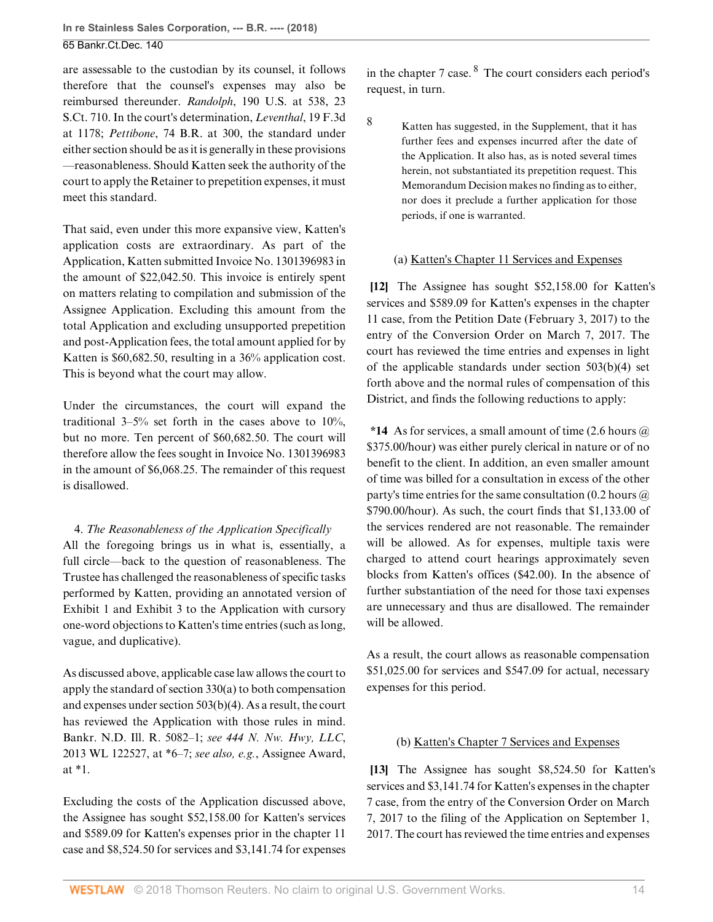are assessable to the custodian by its counsel, it follows therefore that the counsel's expenses may also be reimbursed thereunder. *Randolph*[, 190 U.S. at 538, 23](http://www.westlaw.com/Link/Document/FullText?findType=Y&serNum=1903100317&pubNum=0000708&originatingDoc=I146039b037bc11e888d5f23feb60b681&refType=RP&originationContext=document&vr=3.0&rs=cblt1.0&transitionType=DocumentItem&contextData=(sc.History*oc.AlertsClip)) [S.Ct. 710.](http://www.westlaw.com/Link/Document/FullText?findType=Y&serNum=1903100317&pubNum=0000708&originatingDoc=I146039b037bc11e888d5f23feb60b681&refType=RP&originationContext=document&vr=3.0&rs=cblt1.0&transitionType=DocumentItem&contextData=(sc.History*oc.AlertsClip)) In the court's determination, *[Leventhal](http://www.westlaw.com/Link/Document/FullText?findType=Y&serNum=1994070566&pubNum=0000506&originatingDoc=I146039b037bc11e888d5f23feb60b681&refType=RP&fi=co_pp_sp_506_1178&originationContext=document&vr=3.0&rs=cblt1.0&transitionType=DocumentItem&contextData=(sc.History*oc.AlertsClip)#co_pp_sp_506_1178)*, 19 F.3d [at 1178;](http://www.westlaw.com/Link/Document/FullText?findType=Y&serNum=1994070566&pubNum=0000506&originatingDoc=I146039b037bc11e888d5f23feb60b681&refType=RP&fi=co_pp_sp_506_1178&originationContext=document&vr=3.0&rs=cblt1.0&transitionType=DocumentItem&contextData=(sc.History*oc.AlertsClip)#co_pp_sp_506_1178) *Pettibone*[, 74 B.R. at 300](http://www.westlaw.com/Link/Document/FullText?findType=Y&serNum=1987068306&pubNum=0000164&originatingDoc=I146039b037bc11e888d5f23feb60b681&refType=RP&fi=co_pp_sp_164_300&originationContext=document&vr=3.0&rs=cblt1.0&transitionType=DocumentItem&contextData=(sc.History*oc.AlertsClip)#co_pp_sp_164_300), the standard under either section should be as it is generally in these provisions —reasonableness. Should Katten seek the authority of the court to apply the Retainer to prepetition expenses, it must meet this standard.

That said, even under this more expansive view, Katten's application costs are extraordinary. As part of the Application, Katten submitted Invoice No. 1301396983 in the amount of \$22,042.50. This invoice is entirely spent on matters relating to compilation and submission of the Assignee Application. Excluding this amount from the total Application and excluding unsupported prepetition and post-Application fees, the total amount applied for by Katten is \$60,682.50, resulting in a 36% application cost. This is beyond what the court may allow.

Under the circumstances, the court will expand the traditional  $3-5\%$  set forth in the cases above to  $10\%$ , but no more. Ten percent of \$60,682.50. The court will therefore allow the fees sought in Invoice No. 1301396983 in the amount of \$6,068.25. The remainder of this request is disallowed.

4. *The Reasonableness of the Application Specifically* All the foregoing brings us in what is, essentially, a full circle—back to the question of reasonableness. The Trustee has challenged the reasonableness of specific tasks performed by Katten, providing an annotated version of Exhibit 1 and Exhibit 3 to the Application with cursory one-word objections to Katten's time entries (such as long, vague, and duplicative).

As discussed above, applicable case law allows the court to apply the standard of [section 330\(a\)](http://www.westlaw.com/Link/Document/FullText?findType=L&pubNum=1000611&cite=11USCAS330&originatingDoc=I146039b037bc11e888d5f23feb60b681&refType=LQ&originationContext=document&vr=3.0&rs=cblt1.0&transitionType=DocumentItem&contextData=(sc.History*oc.AlertsClip)) to both compensation and expenses under [section 503\(b\)\(4\)](http://www.westlaw.com/Link/Document/FullText?findType=L&pubNum=1000546&cite=11USCAS503&originatingDoc=I146039b037bc11e888d5f23feb60b681&refType=SP&originationContext=document&vr=3.0&rs=cblt1.0&transitionType=DocumentItem&contextData=(sc.History*oc.AlertsClip)#co_pp_6ad60000aeea7). As a result, the court has reviewed the Application with those rules in mind. Bankr. N.D. Ill. R. 5082–1; *see [444 N. Nw. Hwy, LLC](http://www.westlaw.com/Link/Document/FullText?findType=Y&serNum=2029626501&pubNum=0000999&originatingDoc=I146039b037bc11e888d5f23feb60b681&refType=RP&originationContext=document&vr=3.0&rs=cblt1.0&transitionType=DocumentItem&contextData=(sc.History*oc.AlertsClip))*, [2013 WL 122527, at \\*6–7](http://www.westlaw.com/Link/Document/FullText?findType=Y&serNum=2029626501&pubNum=0000999&originatingDoc=I146039b037bc11e888d5f23feb60b681&refType=RP&originationContext=document&vr=3.0&rs=cblt1.0&transitionType=DocumentItem&contextData=(sc.History*oc.AlertsClip)); *see also, e.g.*, Assignee Award, at \*1.

Excluding the costs of the Application discussed above, the Assignee has sought \$52,158.00 for Katten's services and \$589.09 for Katten's expenses prior in the chapter 11 case and \$8,524.50 for services and \$3,141.74 for expenses

<span id="page-13-3"></span>in the chapter 7 case.  $8\text{ The court considers each period's}$  $8\text{ The court considers each period's}$ request, in turn.

<span id="page-13-2"></span>

[8](#page-13-3) Katten has suggested, in the Supplement, that it has further fees and expenses incurred after the date of the Application. It also has, as is noted several times herein, not substantiated its prepetition request. This Memorandum Decision makes no finding as to either, nor does it preclude a further application for those periods, if one is warranted.

### <span id="page-13-0"></span>(a) Katten's Chapter 11 Services and Expenses

**[\[12](#page-2-0)]** The Assignee has sought \$52,158.00 for Katten's services and \$589.09 for Katten's expenses in the chapter 11 case, from the Petition Date (February 3, 2017) to the entry of the Conversion Order on March 7, 2017. The court has reviewed the time entries and expenses in light of the applicable standards under [section 503\(b\)\(4\)](http://www.westlaw.com/Link/Document/FullText?findType=L&pubNum=1000546&cite=11USCAS503&originatingDoc=I146039b037bc11e888d5f23feb60b681&refType=SP&originationContext=document&vr=3.0&rs=cblt1.0&transitionType=DocumentItem&contextData=(sc.History*oc.AlertsClip)#co_pp_6ad60000aeea7) set forth above and the normal rules of compensation of this District, and finds the following reductions to apply:

**\*14** As for services, a small amount of time (2.6 hours @ \$375.00/hour) was either purely clerical in nature or of no benefit to the client. In addition, an even smaller amount of time was billed for a consultation in excess of the other party's time entries for the same consultation  $(0.2 \text{ hours} \omega)$ \$790.00/hour). As such, the court finds that \$1,133.00 of the services rendered are not reasonable. The remainder will be allowed. As for expenses, multiple taxis were charged to attend court hearings approximately seven blocks from Katten's offices (\$42.00). In the absence of further substantiation of the need for those taxi expenses are unnecessary and thus are disallowed. The remainder will be allowed.

As a result, the court allows as reasonable compensation \$51,025.00 for services and \$547.09 for actual, necessary expenses for this period.

## <span id="page-13-1"></span>(b) Katten's Chapter 7 Services and Expenses

**[\[13](#page-2-1)]** The Assignee has sought \$8,524.50 for Katten's services and \$3,141.74 for Katten's expenses in the chapter 7 case, from the entry of the Conversion Order on March 7, 2017 to the filing of the Application on September 1, 2017. The court has reviewed the time entries and expenses